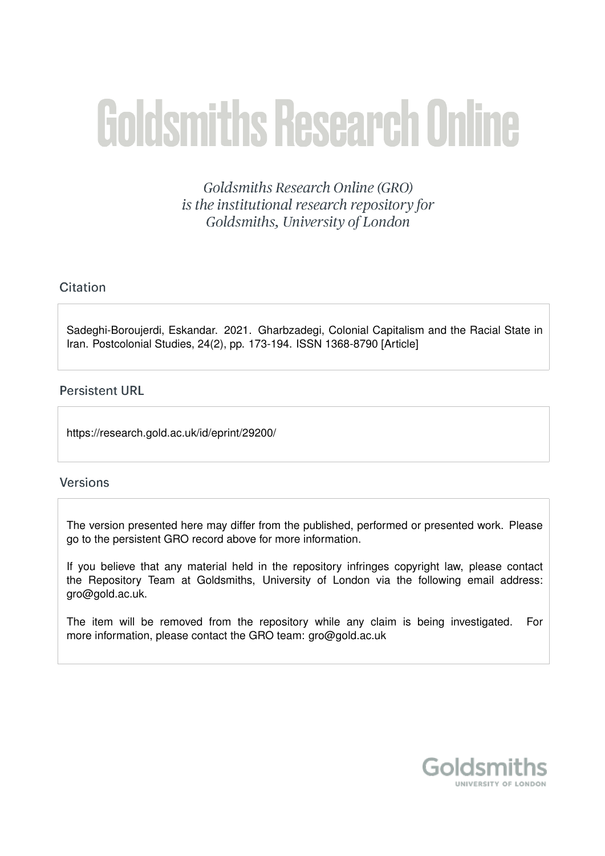# **Goldsmiths Research Online**

Goldsmiths Research Online (GRO) is the institutional research repository for Goldsmiths, University of London

# Citation

Sadeghi-Boroujerdi, Eskandar. 2021. Gharbzadegi, Colonial Capitalism and the Racial State in Iran. Postcolonial Studies, 24(2), pp. 173-194. ISSN 1368-8790 [Article]

## **Persistent URL**

https://research.gold.ac.uk/id/eprint/29200/

## **Versions**

The version presented here may differ from the published, performed or presented work. Please go to the persistent GRO record above for more information.

If you believe that any material held in the repository infringes copyright law, please contact the Repository Team at Goldsmiths, University of London via the following email address: gro@gold.ac.uk.

The item will be removed from the repository while any claim is being investigated. For more information, please contact the GRO team: gro@gold.ac.uk

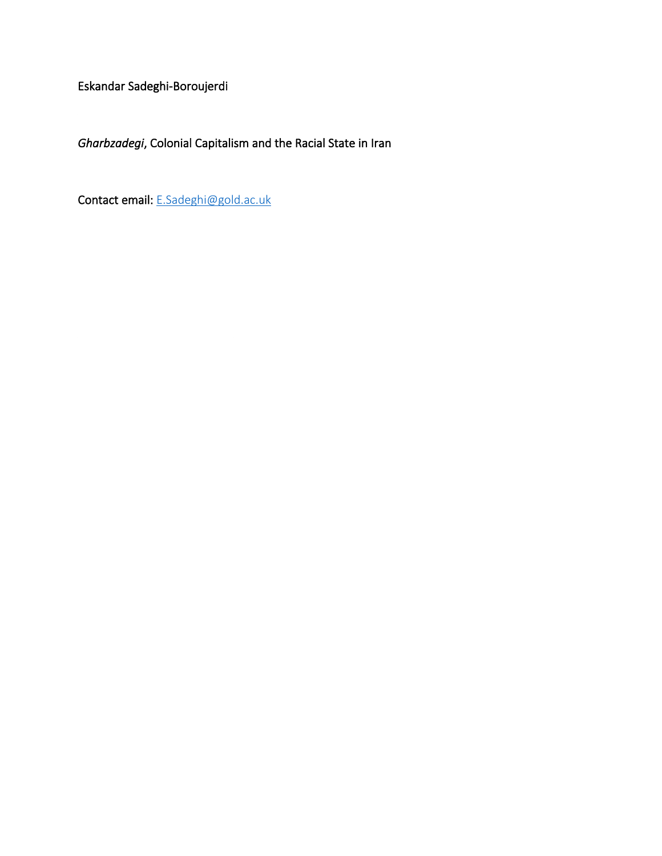Eskandar Sadeghi-Boroujerdi

*Gharbzadegi*, Colonial Capitalism and the Racial State in Iran

Contact email: [E.Sadeghi@gold.ac.uk](mailto:E.Sadeghi@gold.ac.uk)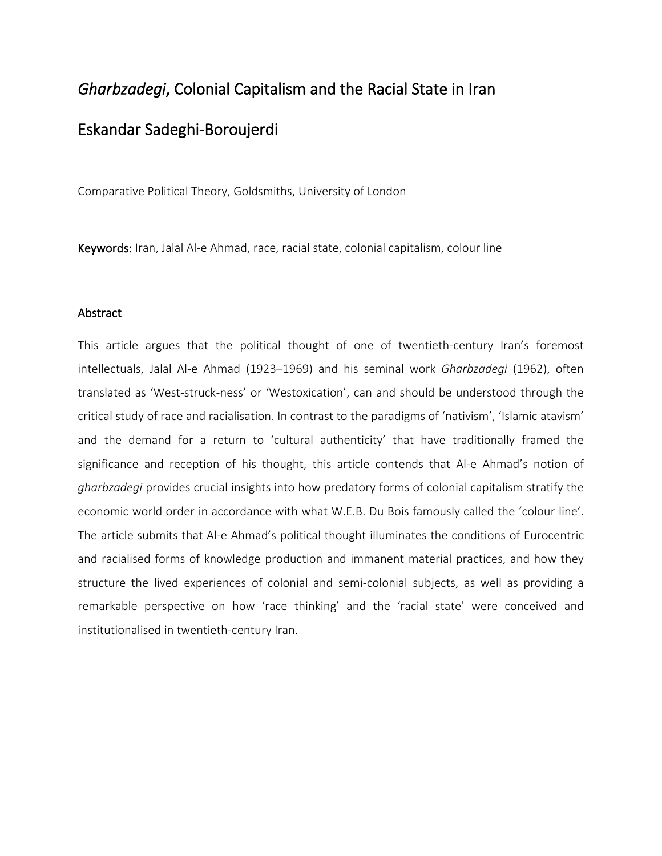# *Gharbzadegi*, Colonial Capitalism and the Racial State in Iran Eskandar Sadeghi-Boroujerdi

Comparative Political Theory, Goldsmiths, University of London

Keywords: Iran, Jalal Al-e Ahmad, race, racial state, colonial capitalism, colour line

#### Abstract

This article argues that the political thought of one of twentieth-century Iran's foremost intellectuals, Jalal Al-e Ahmad (1923–1969) and his seminal work *Gharbzadegi* (1962), often translated as 'West-struck-ness' or 'Westoxication', can and should be understood through the critical study of race and racialisation. In contrast to the paradigms of 'nativism', 'Islamic atavism' and the demand for a return to 'cultural authenticity' that have traditionally framed the significance and reception of his thought, this article contends that Al-e Ahmad's notion of *gharbzadegi* provides crucial insights into how predatory forms of colonial capitalism stratify the economic world order in accordance with what W.E.B. Du Bois famously called the 'colour line'. The article submits that Al-e Ahmad's political thought illuminates the conditions of Eurocentric and racialised forms of knowledge production and immanent material practices, and how they structure the lived experiences of colonial and semi-colonial subjects, as well as providing a remarkable perspective on how 'race thinking' and the 'racial state' were conceived and institutionalised in twentieth-century Iran.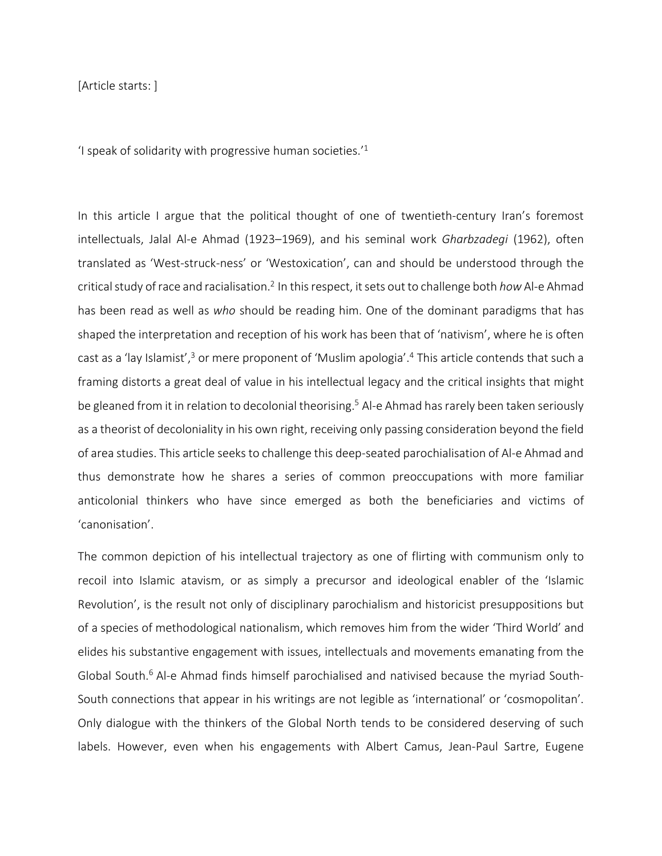[Article starts: ]

'I speak of solidarity with progressive human societies. $11$ 

In this article I argue that the political thought of one of twentieth-century Iran's foremost intellectuals, Jalal Al-e Ahmad (1923–1969), and his seminal work *Gharbzadegi* (1962), often translated as 'West-struck-ness' or 'Westoxication', can and should be understood through the critical study of race and racialisation.<sup>2</sup> In this respect, it sets out to challenge both *how* Al-e Ahmad has been read as well as *who* should be reading him. One of the dominant paradigms that has shaped the interpretation and reception of his work has been that of 'nativism', where he is often cast as a 'lay Islamist',<sup>3</sup> or mere proponent of 'Muslim apologia'.<sup>4</sup> This article contends that such a framing distorts a great deal of value in his intellectual legacy and the critical insights that might be gleaned from it in relation to decolonial theorising.<sup>5</sup> Al-e Ahmad has rarely been taken seriously as a theorist of decoloniality in his own right, receiving only passing consideration beyond the field of area studies. This article seeksto challenge this deep-seated parochialisation of Al-e Ahmad and thus demonstrate how he shares a series of common preoccupations with more familiar anticolonial thinkers who have since emerged as both the beneficiaries and victims of 'canonisation'.

The common depiction of his intellectual trajectory as one of flirting with communism only to recoil into Islamic atavism, or as simply a precursor and ideological enabler of the 'Islamic Revolution', is the result not only of disciplinary parochialism and historicist presuppositions but of a species of methodological nationalism, which removes him from the wider 'Third World' and elides his substantive engagement with issues, intellectuals and movements emanating from the Global South.<sup>6</sup> Al-e Ahmad finds himself parochialised and nativised because the myriad South-South connections that appear in his writings are not legible as 'international' or 'cosmopolitan'. Only dialogue with the thinkers of the Global North tends to be considered deserving of such labels. However, even when his engagements with Albert Camus, Jean-Paul Sartre, Eugene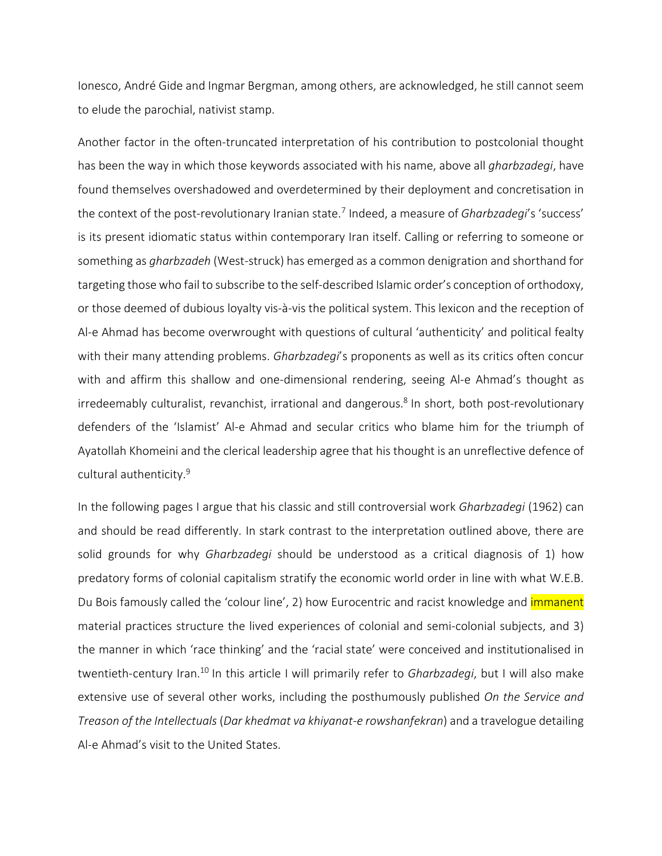Ionesco, André Gide and Ingmar Bergman, among others, are acknowledged, he still cannot seem to elude the parochial, nativist stamp.

Another factor in the often-truncated interpretation of his contribution to postcolonial thought has been the way in which those keywords associated with his name, above all *gharbzadegi*, have found themselves overshadowed and overdetermined by their deployment and concretisation in the context of the post-revolutionary Iranian state.<sup>7</sup> Indeed, a measure of *Gharbzadegi*'s 'success' is its present idiomatic status within contemporary Iran itself. Calling or referring to someone or something as *gharbzadeh* (West-struck) has emerged as a common denigration and shorthand for targeting those who fail to subscribe to the self-described Islamic order's conception of orthodoxy, or those deemed of dubious loyalty vis-à-vis the political system. This lexicon and the reception of Al-e Ahmad has become overwrought with questions of cultural 'authenticity' and political fealty with their many attending problems. *Gharbzadegi*'s proponents as well as its critics often concur with and affirm this shallow and one-dimensional rendering, seeing Al-e Ahmad's thought as irredeemably culturalist, revanchist, irrational and dangerous.<sup>8</sup> In short, both post-revolutionary defenders of the 'Islamist' Al-e Ahmad and secular critics who blame him for the triumph of Ayatollah Khomeini and the clerical leadership agree that his thought is an unreflective defence of cultural authenticity.<sup>9</sup>

In the following pages I argue that his classic and still controversial work *Gharbzadegi* (1962) can and should be read differently. In stark contrast to the interpretation outlined above, there are solid grounds for why *Gharbzadegi* should be understood as a critical diagnosis of 1) how predatory forms of colonial capitalism stratify the economic world order in line with what W.E.B. Du Bois famously called the 'colour line', 2) how Eurocentric and racist knowledge and *immanent* material practices structure the lived experiences of colonial and semi-colonial subjects, and 3) the manner in which 'race thinking' and the 'racial state' were conceived and institutionalised in twentieth-century Iran.<sup>10</sup> In this article I will primarily refer to *Gharbzadegi*, but I will also make extensive use of several other works, including the posthumously published *On the Service and Treason of the Intellectuals* (*Dar khedmat va khiyanat-e rowshanfekran*) and a travelogue detailing Al-e Ahmad's visit to the United States.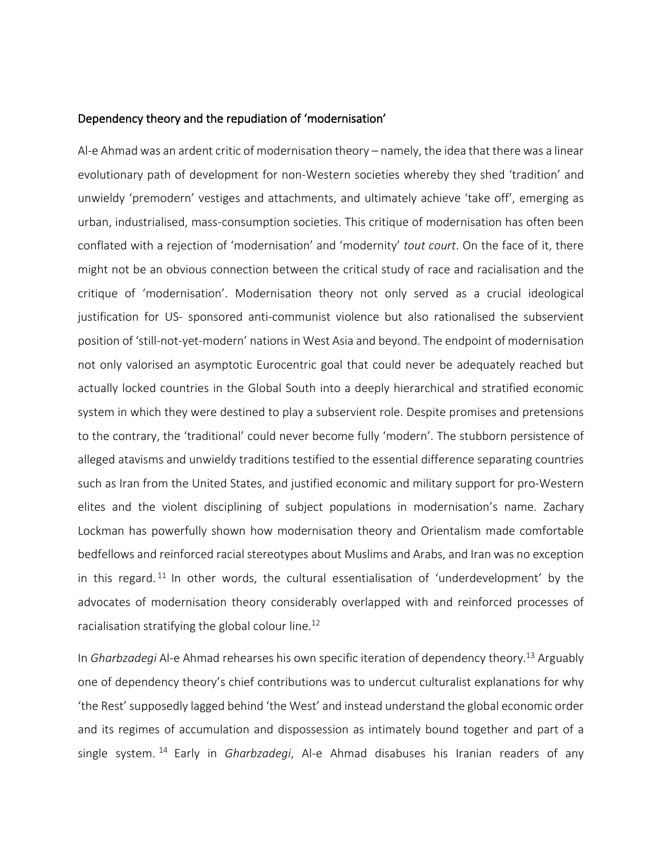#### Dependency theory and the repudiation of 'modernisation'

Al-e Ahmad was an ardent critic of modernisation theory – namely, the idea that there was a linear evolutionary path of development for non-Western societies whereby they shed 'tradition' and unwieldy 'premodern' vestiges and attachments, and ultimately achieve 'take off', emerging as urban, industrialised, mass-consumption societies. This critique of modernisation has often been conflated with a rejection of 'modernisation' and 'modernity' *tout court*. On the face of it, there might not be an obvious connection between the critical study of race and racialisation and the critique of 'modernisation'. Modernisation theory not only served as a crucial ideological justification for US- sponsored anti-communist violence but also rationalised the subservient position of 'still-not-yet-modern' nations in West Asia and beyond. The endpoint of modernisation not only valorised an asymptotic Eurocentric goal that could never be adequately reached but actually locked countries in the Global South into a deeply hierarchical and stratified economic system in which they were destined to play a subservient role. Despite promises and pretensions to the contrary, the 'traditional' could never become fully 'modern'. The stubborn persistence of alleged atavisms and unwieldy traditions testified to the essential difference separating countries such as Iran from the United States, and justified economic and military support for pro-Western elites and the violent disciplining of subject populations in modernisation's name. Zachary Lockman has powerfully shown how modernisation theory and Orientalism made comfortable bedfellows and reinforced racial stereotypes about Muslims and Arabs, and Iran was no exception in this regard.<sup>11</sup> In other words, the cultural essentialisation of 'underdevelopment' by the advocates of modernisation theory considerably overlapped with and reinforced processes of racialisation stratifying the global colour line.<sup>12</sup>

In *Gharbzadegi* Al-e Ahmad rehearses his own specific iteration of dependency theory.<sup>13</sup> Arguably one of dependency theory's chief contributions was to undercut culturalist explanations for why 'the Rest' supposedly lagged behind 'the West' and instead understand the global economic order and its regimes of accumulation and dispossession as intimately bound together and part of a single system. <sup>14</sup> Early in *Gharbzadegi*, Al-e Ahmad disabuses his Iranian readers of any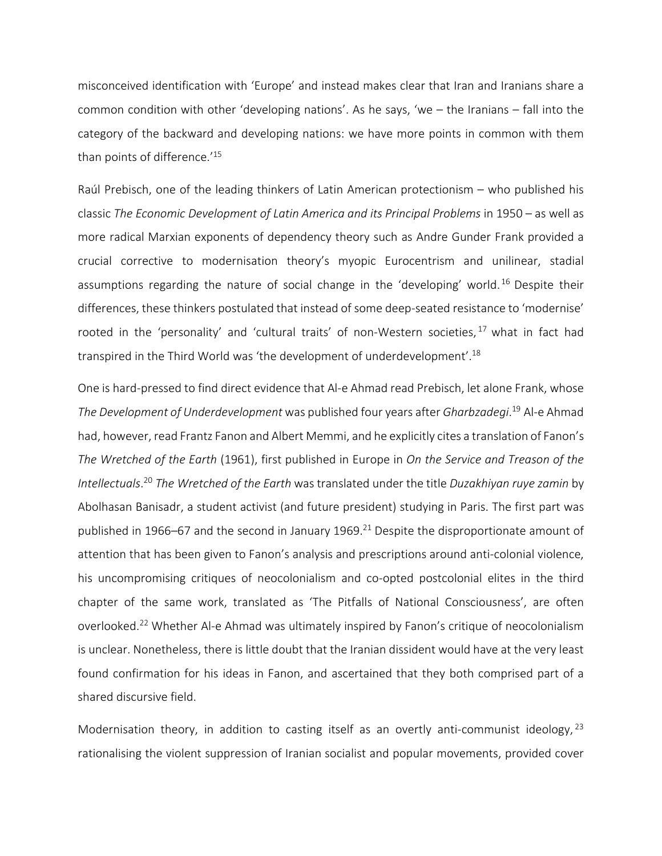misconceived identification with 'Europe' and instead makes clear that Iran and Iranians share a common condition with other 'developing nations'. As he says, 'we – the Iranians – fall into the category of the backward and developing nations: we have more points in common with them than points of difference.' 15

Raúl Prebisch, one of the leading thinkers of Latin American protectionism – who published his classic *The Economic Development of Latin America and its Principal Problems* in 1950 – as well as more radical Marxian exponents of dependency theory such as Andre Gunder Frank provided a crucial corrective to modernisation theory's myopic Eurocentrism and unilinear, stadial assumptions regarding the nature of social change in the 'developing' world.<sup>16</sup> Despite their differences, these thinkers postulated that instead of some deep-seated resistance to 'modernise' rooted in the 'personality' and 'cultural traits' of non-Western societies,  $17$  what in fact had transpired in the Third World was 'the development of underdevelopment'.<sup>18</sup>

One is hard-pressed to find direct evidence that Al-e Ahmad read Prebisch, let alone Frank, whose *The Development of Underdevelopment* was published four years after *Gharbzadegi*. <sup>19</sup> Al-e Ahmad had, however, read Frantz Fanon and Albert Memmi, and he explicitly cites a translation of Fanon's *The Wretched of the Earth* (1961), first published in Europe in *On the Service and Treason of the Intellectuals*. <sup>20</sup> *The Wretched of the Earth* was translated under the title *Duzakhiyan ruye zamin* by Abolhasan Banisadr, a student activist (and future president) studying in Paris. The first part was published in 1966–67 and the second in January 1969.<sup>21</sup> Despite the disproportionate amount of attention that has been given to Fanon's analysis and prescriptions around anti-colonial violence, his uncompromising critiques of neocolonialism and co-opted postcolonial elites in the third chapter of the same work, translated as 'The Pitfalls of National Consciousness', are often overlooked.<sup>22</sup> Whether Al-e Ahmad was ultimately inspired by Fanon's critique of neocolonialism is unclear. Nonetheless, there is little doubt that the Iranian dissident would have at the very least found confirmation for his ideas in Fanon, and ascertained that they both comprised part of a shared discursive field.

Modernisation theory, in addition to casting itself as an overtly anti-communist ideology, <sup>23</sup> rationalising the violent suppression of Iranian socialist and popular movements, provided cover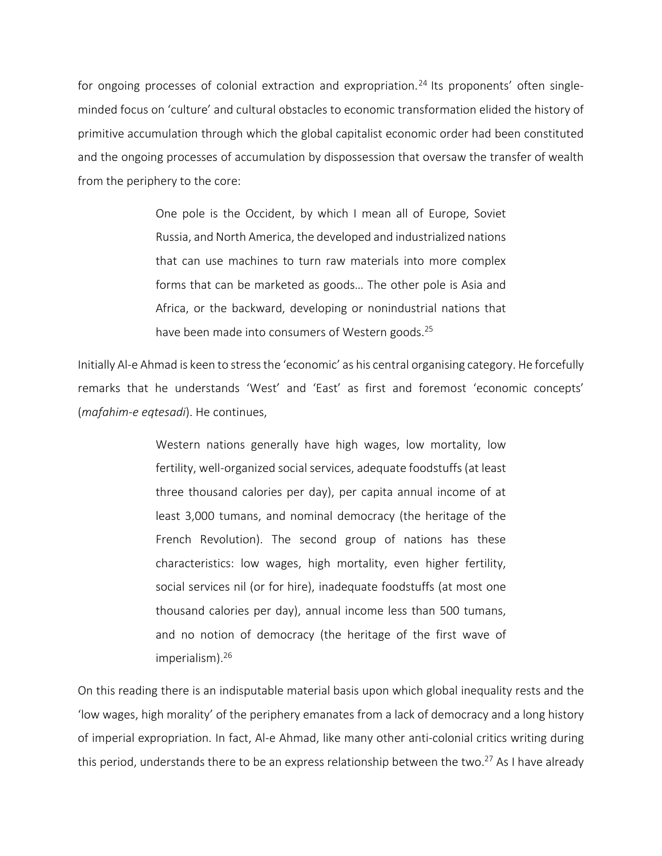for ongoing processes of colonial extraction and expropriation.<sup>24</sup> Its proponents' often singleminded focus on 'culture' and cultural obstacles to economic transformation elided the history of primitive accumulation through which the global capitalist economic order had been constituted and the ongoing processes of accumulation by dispossession that oversaw the transfer of wealth from the periphery to the core:

> One pole is the Occident, by which I mean all of Europe, Soviet Russia, and North America, the developed and industrialized nations that can use machines to turn raw materials into more complex forms that can be marketed as goods… The other pole is Asia and Africa, or the backward, developing or nonindustrial nations that have been made into consumers of Western goods.<sup>25</sup>

Initially Al-e Ahmad is keen to stressthe 'economic' as his central organising category. He forcefully remarks that he understands 'West' and 'East' as first and foremost 'economic concepts' (*mafahim-e eqtesadi*). He continues,

> Western nations generally have high wages, low mortality, low fertility, well-organized social services, adequate foodstuffs (at least three thousand calories per day), per capita annual income of at least 3,000 tumans, and nominal democracy (the heritage of the French Revolution). The second group of nations has these characteristics: low wages, high mortality, even higher fertility, social services nil (or for hire), inadequate foodstuffs (at most one thousand calories per day), annual income less than 500 tumans, and no notion of democracy (the heritage of the first wave of imperialism).<sup>26</sup>

On this reading there is an indisputable material basis upon which global inequality rests and the 'low wages, high morality' of the periphery emanates from a lack of democracy and a long history of imperial expropriation. In fact, Al-e Ahmad, like many other anti-colonial critics writing during this period, understands there to be an express relationship between the two.<sup>27</sup> As I have already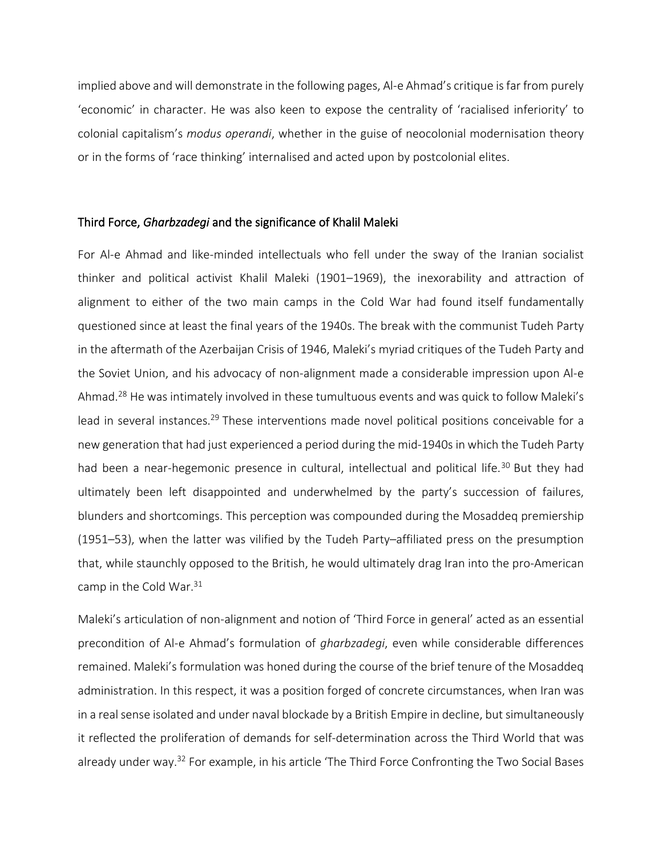implied above and will demonstrate in the following pages, Al-e Ahmad's critique isfar from purely 'economic' in character. He was also keen to expose the centrality of 'racialised inferiority' to colonial capitalism's *modus operandi*, whether in the guise of neocolonial modernisation theory or in the forms of 'race thinking' internalised and acted upon by postcolonial elites.

#### Third Force, *Gharbzadegi* and the significance of Khalil Maleki

For Al-e Ahmad and like-minded intellectuals who fell under the sway of the Iranian socialist thinker and political activist Khalil Maleki (1901–1969), the inexorability and attraction of alignment to either of the two main camps in the Cold War had found itself fundamentally questioned since at least the final years of the 1940s. The break with the communist Tudeh Party in the aftermath of the Azerbaijan Crisis of 1946, Maleki's myriad critiques of the Tudeh Party and the Soviet Union, and his advocacy of non-alignment made a considerable impression upon Al-e Ahmad.<sup>28</sup> He was intimately involved in these tumultuous events and was quick to follow Maleki's lead in several instances.<sup>29</sup> These interventions made novel political positions conceivable for a new generation that had just experienced a period during the mid-1940s in which the Tudeh Party had been a near-hegemonic presence in cultural, intellectual and political life.<sup>30</sup> But they had ultimately been left disappointed and underwhelmed by the party's succession of failures, blunders and shortcomings. This perception was compounded during the Mosaddeq premiership (1951–53), when the latter was vilified by the Tudeh Party–affiliated press on the presumption that, while staunchly opposed to the British, he would ultimately drag Iran into the pro-American camp in the Cold War.<sup>31</sup>

Maleki's articulation of non-alignment and notion of 'Third Force in general' acted as an essential precondition of Al-e Ahmad's formulation of *gharbzadegi*, even while considerable differences remained. Maleki's formulation was honed during the course of the brief tenure of the Mosaddeq administration. In this respect, it was a position forged of concrete circumstances, when Iran was in a real sense isolated and under naval blockade by a British Empire in decline, but simultaneously it reflected the proliferation of demands for self-determination across the Third World that was already under way.<sup>32</sup> For example, in his article 'The Third Force Confronting the Two Social Bases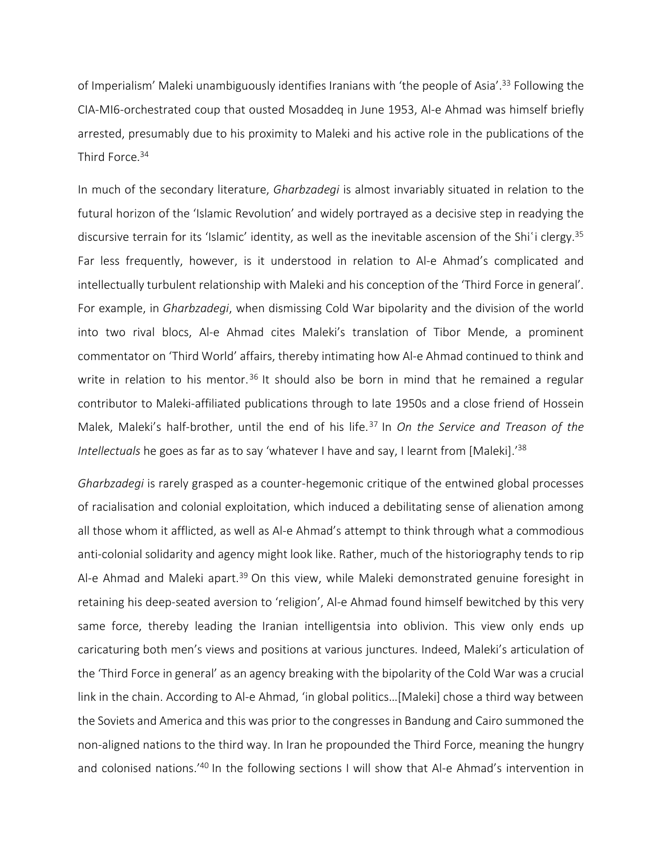of Imperialism' Maleki unambiguously identifies Iranians with 'the people of Asia'.<sup>33</sup> Following the CIA-MI6-orchestrated coup that ousted Mosaddeq in June 1953, Al-e Ahmad was himself briefly arrested, presumably due to his proximity to Maleki and his active role in the publications of the Third Force.<sup>34</sup>

In much of the secondary literature, *Gharbzadegi* is almost invariably situated in relation to the futural horizon of the 'Islamic Revolution' and widely portrayed as a decisive step in readying the discursive terrain for its 'Islamic' identity, as well as the inevitable ascension of the Shi'i clergy.<sup>35</sup> Far less frequently, however, is it understood in relation to Al-e Ahmad's complicated and intellectually turbulent relationship with Maleki and his conception of the 'Third Force in general'. For example, in *Gharbzadegi*, when dismissing Cold War bipolarity and the division of the world into two rival blocs, Al-e Ahmad cites Maleki's translation of Tibor Mende, a prominent commentator on 'Third World' affairs, thereby intimating how Al-e Ahmad continued to think and write in relation to his mentor.<sup>36</sup> It should also be born in mind that he remained a regular contributor to Maleki-affiliated publications through to late 1950s and a close friend of Hossein Malek, Maleki's half-brother, until the end of his life.<sup>37</sup> In *On the Service and Treason of the* Intellectuals he goes as far as to say 'whatever I have and say, I learnt from [Maleki].<sup>'38</sup>

*Gharbzadegi* is rarely grasped as a counter-hegemonic critique of the entwined global processes of racialisation and colonial exploitation, which induced a debilitating sense of alienation among all those whom it afflicted, as well as Al-e Ahmad's attempt to think through what a commodious anti-colonial solidarity and agency might look like. Rather, much of the historiography tends to rip Al-e Ahmad and Maleki apart.<sup>39</sup> On this view, while Maleki demonstrated genuine foresight in retaining his deep-seated aversion to 'religion', Al-e Ahmad found himself bewitched by this very same force, thereby leading the Iranian intelligentsia into oblivion. This view only ends up caricaturing both men's views and positions at various junctures. Indeed, Maleki's articulation of the 'Third Force in general' as an agency breaking with the bipolarity of the Cold War was a crucial link in the chain. According to Al-e Ahmad, 'in global politics…[Maleki] chose a third way between the Soviets and America and this was prior to the congresses in Bandung and Cairo summoned the non-aligned nations to the third way. In Iran he propounded the Third Force, meaning the hungry and colonised nations.<sup>'40</sup> In the following sections I will show that Al-e Ahmad's intervention in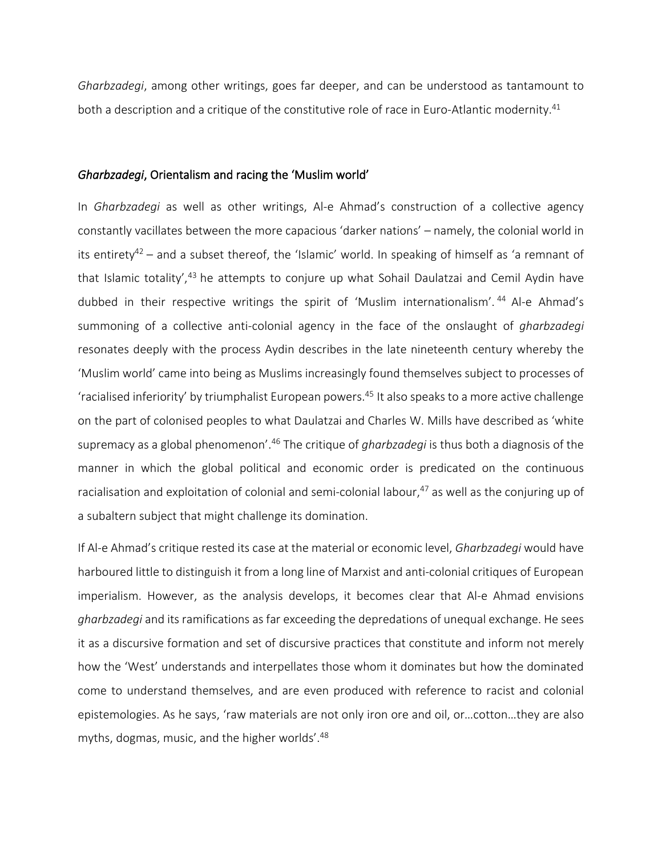*Gharbzadegi*, among other writings, goes far deeper, and can be understood as tantamount to both a description and a critique of the constitutive role of race in Euro-Atlantic modernity.<sup>41</sup>

#### *Gharbzadegi*, Orientalism and racing the 'Muslim world'

In *Gharbzadegi* as well as other writings, Al-e Ahmad's construction of a collective agency constantly vacillates between the more capacious 'darker nations' – namely, the colonial world in its entirety<sup>42</sup> – and a subset thereof, the 'Islamic' world. In speaking of himself as 'a remnant of that Islamic totality',<sup>43</sup> he attempts to conjure up what Sohail Daulatzai and Cemil Aydin have dubbed in their respective writings the spirit of 'Muslim internationalism'.<sup>44</sup> Al-e Ahmad's summoning of a collective anti-colonial agency in the face of the onslaught of *gharbzadegi* resonates deeply with the process Aydin describes in the late nineteenth century whereby the 'Muslim world' came into being as Muslims increasingly found themselves subject to processes of 'racialised inferiority' by triumphalist European powers.<sup>45</sup> It also speaks to a more active challenge on the part of colonised peoples to what Daulatzai and Charles W. Mills have described as 'white supremacy as a global phenomenon'.<sup>46</sup> The critique of *gharbzadegi* is thus both a diagnosis of the manner in which the global political and economic order is predicated on the continuous racialisation and exploitation of colonial and semi-colonial labour,<sup>47</sup> as well as the conjuring up of a subaltern subject that might challenge its domination.

If Al-e Ahmad's critique rested its case at the material or economic level, *Gharbzadegi* would have harboured little to distinguish it from a long line of Marxist and anti-colonial critiques of European imperialism. However, as the analysis develops, it becomes clear that Al-e Ahmad envisions *gharbzadegi* and its ramifications as far exceeding the depredations of unequal exchange. He sees it as a discursive formation and set of discursive practices that constitute and inform not merely how the 'West' understands and interpellates those whom it dominates but how the dominated come to understand themselves, and are even produced with reference to racist and colonial epistemologies. As he says, 'raw materials are not only iron ore and oil, or…cotton…they are also myths, dogmas, music, and the higher worlds'. 48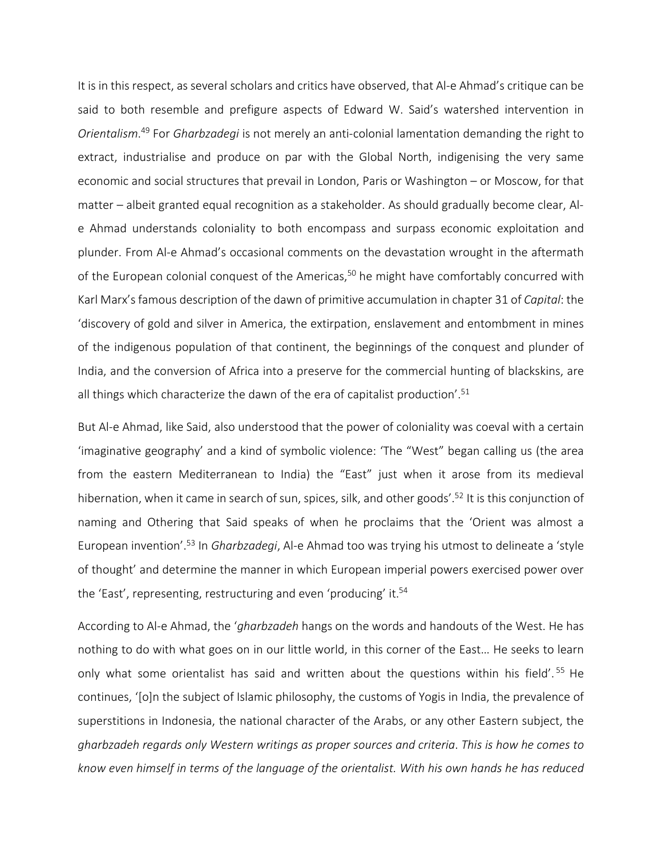It is in this respect, as several scholars and critics have observed, that Al-e Ahmad's critique can be said to both resemble and prefigure aspects of Edward W. Said's watershed intervention in *Orientalism*. <sup>49</sup> For *Gharbzadegi* is not merely an anti-colonial lamentation demanding the right to extract, industrialise and produce on par with the Global North, indigenising the very same economic and social structures that prevail in London, Paris or Washington – or Moscow, for that matter – albeit granted equal recognition as a stakeholder. As should gradually become clear, Ale Ahmad understands coloniality to both encompass and surpass economic exploitation and plunder. From Al-e Ahmad's occasional comments on the devastation wrought in the aftermath of the European colonial conquest of the Americas, $50$  he might have comfortably concurred with Karl Marx'sfamous description of the dawn of primitive accumulation in chapter 31 of *Capital*: the 'discovery of gold and silver in America, the extirpation, enslavement and entombment in mines of the indigenous population of that continent, the beginnings of the conquest and plunder of India, and the conversion of Africa into a preserve for the commercial hunting of blackskins, are all things which characterize the dawn of the era of capitalist production'. 51

But Al-e Ahmad, like Said, also understood that the power of coloniality was coeval with a certain 'imaginative geography' and a kind of symbolic violence: 'The "West" began calling us (the area from the eastern Mediterranean to India) the "East" just when it arose from its medieval hibernation, when it came in search of sun, spices, silk, and other goods'. <sup>52</sup> It is this conjunction of naming and Othering that Said speaks of when he proclaims that the 'Orient was almost a European invention'.<sup>53</sup> In *Gharbzadegi*, Al-e Ahmad too was trying his utmost to delineate a 'style of thought' and determine the manner in which European imperial powers exercised power over the 'East', representing, restructuring and even 'producing' it.<sup>54</sup>

According to Al-e Ahmad, the '*gharbzadeh* hangs on the words and handouts of the West. He has nothing to do with what goes on in our little world, in this corner of the East… He seeks to learn only what some orientalist has said and written about the questions within his field'.<sup>55</sup> He continues, '[o]n the subject of Islamic philosophy, the customs of Yogis in India, the prevalence of superstitions in Indonesia, the national character of the Arabs, or any other Eastern subject, the *gharbzadeh regards only Western writings as proper sources and criteria*. *This is how he comes to know even himself in terms of the language of the orientalist. With his own hands he has reduced*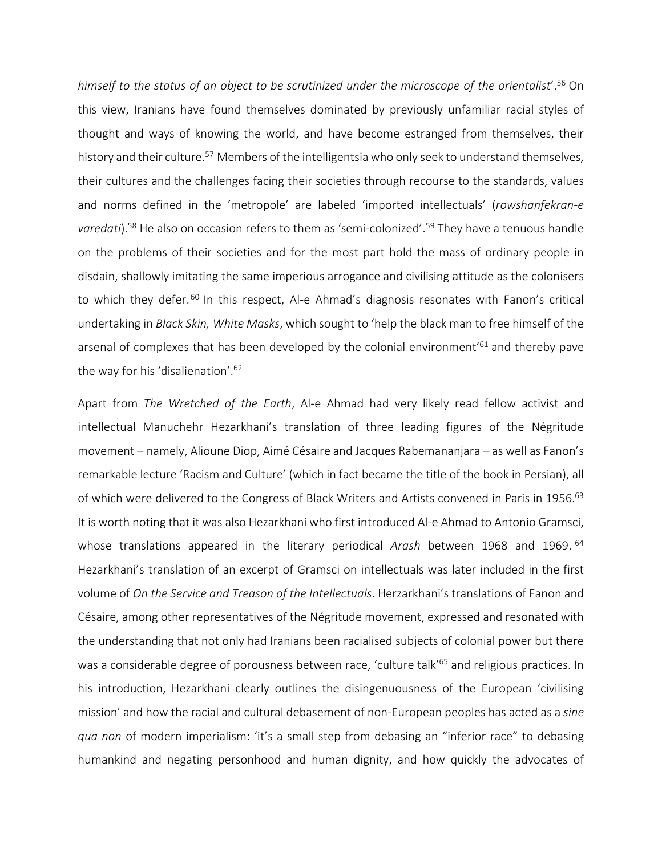*himself to the status of an object to be scrutinized under the microscope of the orientalist*'. <sup>56</sup> On this view, Iranians have found themselves dominated by previously unfamiliar racial styles of thought and ways of knowing the world, and have become estranged from themselves, their history and their culture.<sup>57</sup> Members of the intelligentsia who only seek to understand themselves, their cultures and the challenges facing their societies through recourse to the standards, values and norms defined in the 'metropole' are labeled 'imported intellectuals' (*rowshanfekran-e* varedati).<sup>58</sup> He also on occasion refers to them as 'semi-colonized'.<sup>59</sup> They have a tenuous handle on the problems of their societies and for the most part hold the mass of ordinary people in disdain, shallowly imitating the same imperious arrogance and civilising attitude as the colonisers to which they defer.<sup>60</sup> In this respect, Al-e Ahmad's diagnosis resonates with Fanon's critical undertaking in *Black Skin, White Masks*, which sought to 'help the black man to free himself of the arsenal of complexes that has been developed by the colonial environment'<sup>61</sup> and thereby pave the way for his 'disalienation'.<sup>62</sup>

Apart from *The Wretched of the Earth*, Al-e Ahmad had very likely read fellow activist and intellectual Manuchehr Hezarkhani's translation of three leading figures of the Négritude movement – namely, Alioune Diop, Aimé Césaire and Jacques Rabemananjara – as well as Fanon's remarkable lecture 'Racism and Culture' (which in fact became the title of the book in Persian), all of which were delivered to the Congress of Black Writers and Artists convened in Paris in 1956.<sup>63</sup> It is worth noting that it was also Hezarkhani who first introduced Al-e Ahmad to Antonio Gramsci, whose translations appeared in the literary periodical *Arash* between 1968 and 1969. <sup>64</sup> Hezarkhani's translation of an excerpt of Gramsci on intellectuals was later included in the first volume of *On the Service and Treason of the Intellectuals*. Herzarkhani's translations of Fanon and Césaire, among other representatives of the Négritude movement, expressed and resonated with the understanding that not only had Iranians been racialised subjects of colonial power but there was a considerable degree of porousness between race, 'culture talk'<sup>65</sup> and religious practices. In his introduction, Hezarkhani clearly outlines the disingenuousness of the European 'civilising mission' and how the racial and cultural debasement of non-European peoples has acted as a *sine qua non* of modern imperialism: 'it's a small step from debasing an "inferior race" to debasing humankind and negating personhood and human dignity, and how quickly the advocates of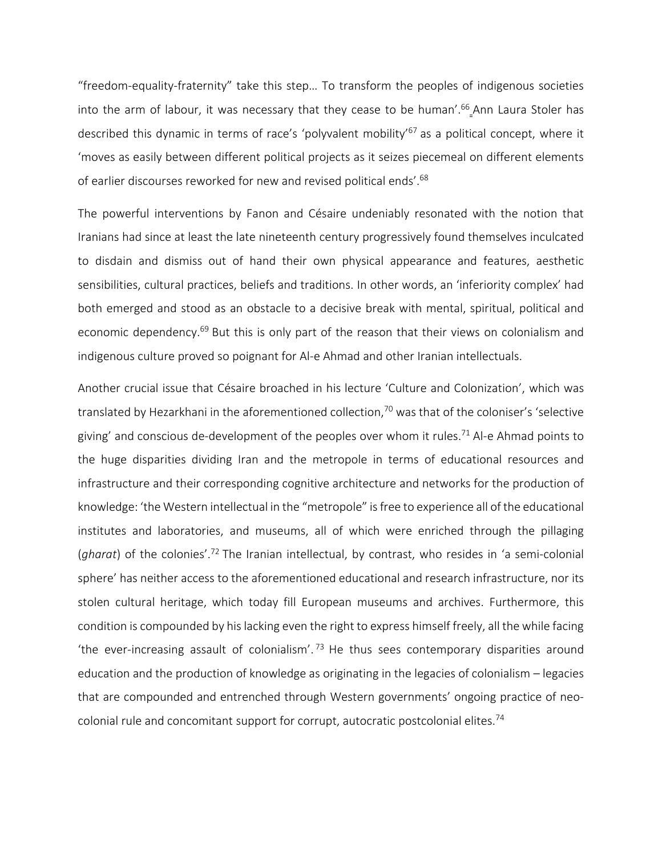"freedom-equality-fraternity" take this step… To transform the peoples of indigenous societies into the arm of labour, it was necessary that they cease to be human'.<sup>66</sup>\_Ann Laura Stoler has described this dynamic in terms of race's 'polyvalent mobility'<sup>67</sup> as a political concept, where it 'moves as easily between different political projects as it seizes piecemeal on different elements of earlier discourses reworked for new and revised political ends'.<sup>68</sup>

The powerful interventions by Fanon and Césaire undeniably resonated with the notion that Iranians had since at least the late nineteenth century progressively found themselves inculcated to disdain and dismiss out of hand their own physical appearance and features, aesthetic sensibilities, cultural practices, beliefs and traditions. In other words, an 'inferiority complex' had both emerged and stood as an obstacle to a decisive break with mental, spiritual, political and economic dependency.<sup>69</sup> But this is only part of the reason that their views on colonialism and indigenous culture proved so poignant for Al-e Ahmad and other Iranian intellectuals.

Another crucial issue that Césaire broached in his lecture 'Culture and Colonization', which was translated by Hezarkhani in the aforementioned collection,  $70$  was that of the coloniser's 'selective giving' and conscious de-development of the peoples over whom it rules.<sup>71</sup> Al-e Ahmad points to the huge disparities dividing Iran and the metropole in terms of educational resources and infrastructure and their corresponding cognitive architecture and networks for the production of knowledge: 'the Western intellectual in the "metropole" isfree to experience all of the educational institutes and laboratories, and museums, all of which were enriched through the pillaging (gharat) of the colonies'.<sup>72</sup> The Iranian intellectual, by contrast, who resides in 'a semi-colonial sphere' has neither access to the aforementioned educational and research infrastructure, nor its stolen cultural heritage, which today fill European museums and archives. Furthermore, this condition is compounded by his lacking even the right to express himself freely, all the while facing 'the ever-increasing assault of colonialism'.<sup>73</sup> He thus sees contemporary disparities around education and the production of knowledge as originating in the legacies of colonialism – legacies that are compounded and entrenched through Western governments' ongoing practice of neocolonial rule and concomitant support for corrupt, autocratic postcolonial elites.<sup>74</sup>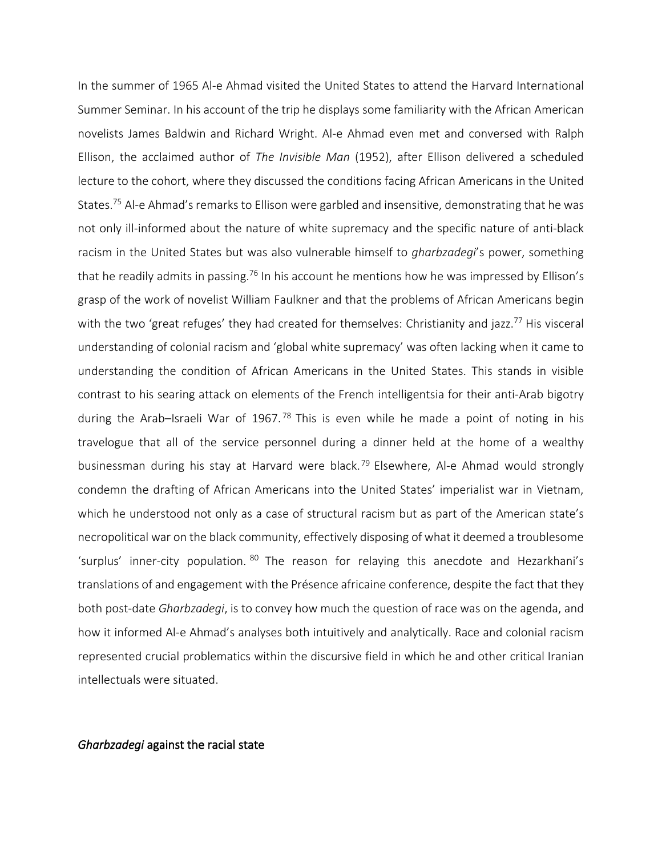In the summer of 1965 Al-e Ahmad visited the United States to attend the Harvard International Summer Seminar. In his account of the trip he displays some familiarity with the African American novelists James Baldwin and Richard Wright. Al-e Ahmad even met and conversed with Ralph Ellison, the acclaimed author of *The Invisible Man* (1952), after Ellison delivered a scheduled lecture to the cohort, where they discussed the conditions facing African Americans in the United States.<sup>75</sup> Al-e Ahmad's remarks to Ellison were garbled and insensitive, demonstrating that he was not only ill-informed about the nature of white supremacy and the specific nature of anti-black racism in the United States but was also vulnerable himself to *gharbzadegi*'s power, something that he readily admits in passing.<sup>76</sup> In his account he mentions how he was impressed by Ellison's grasp of the work of novelist William Faulkner and that the problems of African Americans begin with the two 'great refuges' they had created for themselves: Christianity and jazz.<sup>77</sup> His visceral understanding of colonial racism and 'global white supremacy' was often lacking when it came to understanding the condition of African Americans in the United States. This stands in visible contrast to his searing attack on elements of the French intelligentsia for their anti-Arab bigotry during the Arab-Israeli War of 1967.<sup>78</sup> This is even while he made a point of noting in his travelogue that all of the service personnel during a dinner held at the home of a wealthy businessman during his stay at Harvard were black.<sup>79</sup> Elsewhere, Al-e Ahmad would strongly condemn the drafting of African Americans into the United States' imperialist war in Vietnam, which he understood not only as a case of structural racism but as part of the American state's necropolitical war on the black community, effectively disposing of what it deemed a troublesome 'surplus' inner-city population. <sup>80</sup> The reason for relaying this anecdote and Hezarkhani's translations of and engagement with the Présence africaine conference, despite the fact that they both post-date *Gharbzadegi*, is to convey how much the question of race was on the agenda, and how it informed Al-e Ahmad's analyses both intuitively and analytically. Race and colonial racism represented crucial problematics within the discursive field in which he and other critical Iranian intellectuals were situated.

#### *Gharbzadegi* against the racial state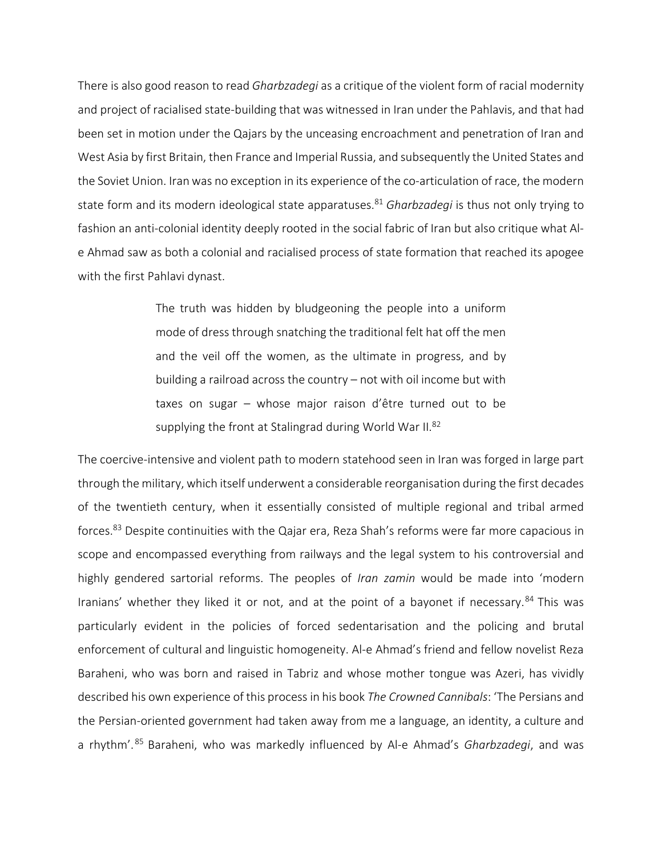There is also good reason to read *Gharbzadegi* as a critique of the violent form of racial modernity and project of racialised state-building that was witnessed in Iran under the Pahlavis, and that had been set in motion under the Qajars by the unceasing encroachment and penetration of Iran and West Asia by first Britain, then France and Imperial Russia, and subsequently the United States and the Soviet Union. Iran was no exception in its experience of the co-articulation of race, the modern state form and its modern ideological state apparatuses.<sup>81</sup> *Gharbzadegi* is thus not only trying to fashion an anti-colonial identity deeply rooted in the social fabric of Iran but also critique what Ale Ahmad saw as both a colonial and racialised process of state formation that reached its apogee with the first Pahlavi dynast.

> The truth was hidden by bludgeoning the people into a uniform mode of dress through snatching the traditional felt hat off the men and the veil off the women, as the ultimate in progress, and by building a railroad across the country – not with oil income but with taxes on sugar – whose major raison d'être turned out to be supplying the front at Stalingrad during World War II.<sup>82</sup>

The coercive-intensive and violent path to modern statehood seen in Iran was forged in large part through the military, which itself underwent a considerable reorganisation during the first decades of the twentieth century, when it essentially consisted of multiple regional and tribal armed forces.<sup>83</sup> Despite continuities with the Qajar era, Reza Shah's reforms were far more capacious in scope and encompassed everything from railways and the legal system to his controversial and highly gendered sartorial reforms. The peoples of *Iran zamin* would be made into 'modern Iranians' whether they liked it or not, and at the point of a bayonet if necessary.<sup>84</sup> This was particularly evident in the policies of forced sedentarisation and the policing and brutal enforcement of cultural and linguistic homogeneity. Al-e Ahmad's friend and fellow novelist Reza Baraheni, who was born and raised in Tabriz and whose mother tongue was Azeri, has vividly described his own experience of this process in his book *The Crowned Cannibals*: 'The Persians and the Persian-oriented government had taken away from me a language, an identity, a culture and a rhythm'. <sup>85</sup> Baraheni, who was markedly influenced by Al-e Ahmad's *Gharbzadegi*, and was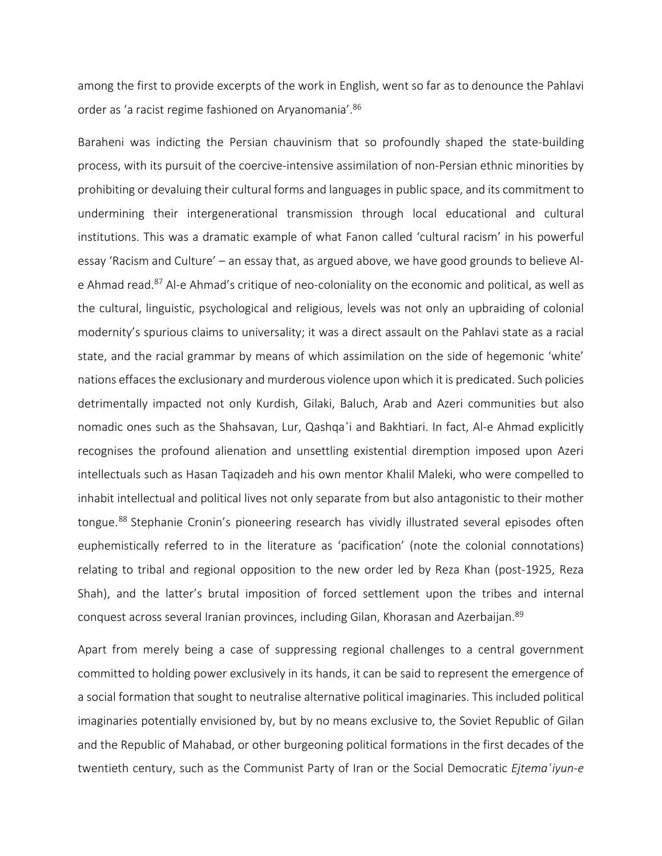among the first to provide excerpts of the work in English, went so far as to denounce the Pahlavi order as 'a racist regime fashioned on Aryanomania'.<sup>86</sup>

Baraheni was indicting the Persian chauvinism that so profoundly shaped the state-building process, with its pursuit of the coercive-intensive assimilation of non-Persian ethnic minorities by prohibiting or devaluing their cultural forms and languages in public space, and its commitment to undermining their intergenerational transmission through local educational and cultural institutions. This was a dramatic example of what Fanon called 'cultural racism' in his powerful essay 'Racism and Culture' – an essay that, as argued above, we have good grounds to believe Ale Ahmad read.<sup>87</sup> Al-e Ahmad's critique of neo-coloniality on the economic and political, as well as the cultural, linguistic, psychological and religious, levels was not only an upbraiding of colonial modernity's spurious claims to universality; it was a direct assault on the Pahlavi state as a racial state, and the racial grammar by means of which assimilation on the side of hegemonic 'white' nations effaces the exclusionary and murderous violence upon which it is predicated. Such policies detrimentally impacted not only Kurdish, Gilaki, Baluch, Arab and Azeri communities but also nomadic ones such as the Shahsavan, Lur, Qashqaʾi and Bakhtiari. In fact, Al-e Ahmad explicitly recognises the profound alienation and unsettling existential diremption imposed upon Azeri intellectuals such as Hasan Taqizadeh and his own mentor Khalil Maleki, who were compelled to inhabit intellectual and political lives not only separate from but also antagonistic to their mother tongue.<sup>88</sup> Stephanie Cronin's pioneering research has vividly illustrated several episodes often euphemistically referred to in the literature as 'pacification' (note the colonial connotations) relating to tribal and regional opposition to the new order led by Reza Khan (post-1925, Reza Shah), and the latter's brutal imposition of forced settlement upon the tribes and internal conquest across several Iranian provinces, including Gilan, Khorasan and Azerbaijan.<sup>89</sup>

Apart from merely being a case of suppressing regional challenges to a central government committed to holding power exclusively in its hands, it can be said to represent the emergence of a social formation that sought to neutralise alternative political imaginaries. This included political imaginaries potentially envisioned by, but by no means exclusive to, the Soviet Republic of Gilan and the Republic of Mahabad, or other burgeoning political formations in the first decades of the twentieth century, such as the Communist Party of Iran or the Social Democratic *Ejtemaʿiyun-e*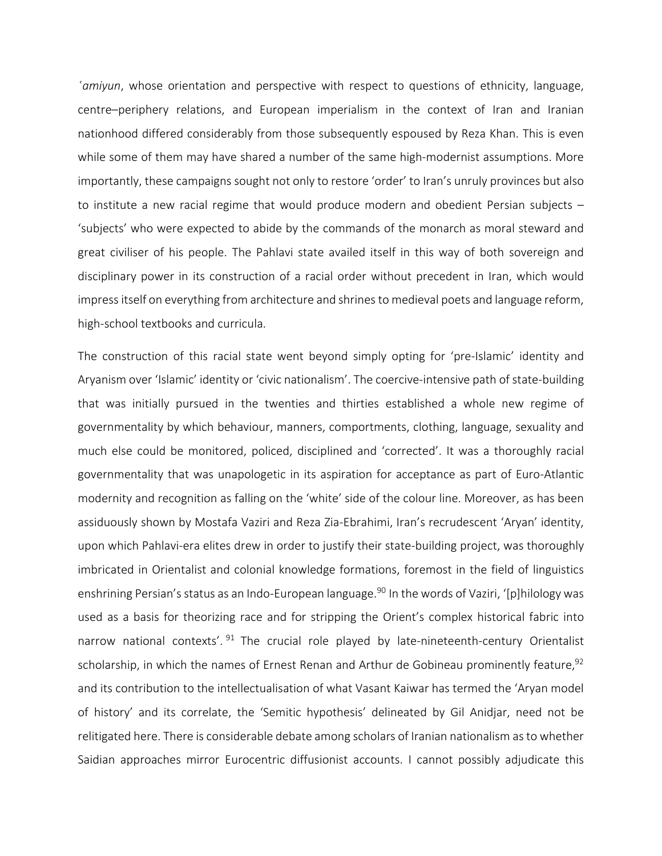*ʿamiyun*, whose orientation and perspective with respect to questions of ethnicity, language, centre–periphery relations, and European imperialism in the context of Iran and Iranian nationhood differed considerably from those subsequently espoused by Reza Khan. This is even while some of them may have shared a number of the same high-modernist assumptions. More importantly, these campaigns sought not only to restore 'order' to Iran's unruly provinces but also to institute a new racial regime that would produce modern and obedient Persian subjects – 'subjects' who were expected to abide by the commands of the monarch as moral steward and great civiliser of his people. The Pahlavi state availed itself in this way of both sovereign and disciplinary power in its construction of a racial order without precedent in Iran, which would impress itself on everything from architecture and shrines to medieval poets and language reform, high-school textbooks and curricula.

The construction of this racial state went beyond simply opting for 'pre-Islamic' identity and Aryanism over 'Islamic' identity or 'civic nationalism'. The coercive-intensive path of state-building that was initially pursued in the twenties and thirties established a whole new regime of governmentality by which behaviour, manners, comportments, clothing, language, sexuality and much else could be monitored, policed, disciplined and 'corrected'. It was a thoroughly racial governmentality that was unapologetic in its aspiration for acceptance as part of Euro-Atlantic modernity and recognition as falling on the 'white' side of the colour line. Moreover, as has been assiduously shown by Mostafa Vaziri and Reza Zia-Ebrahimi, Iran's recrudescent 'Aryan' identity, upon which Pahlavi-era elites drew in order to justify their state-building project, was thoroughly imbricated in Orientalist and colonial knowledge formations, foremost in the field of linguistics enshrining Persian's status as an Indo-European language.<sup>90</sup> In the words of Vaziri, '[p]hilology was used as a basis for theorizing race and for stripping the Orient's complex historical fabric into narrow national contexts'.<sup>91</sup> The crucial role played by late-nineteenth-century Orientalist scholarship, in which the names of Ernest Renan and Arthur de Gobineau prominently feature, 92 and its contribution to the intellectualisation of what Vasant Kaiwar has termed the 'Aryan model of history' and its correlate, the 'Semitic hypothesis' delineated by Gil Anidjar, need not be relitigated here. There is considerable debate among scholars of Iranian nationalism asto whether Saidian approaches mirror Eurocentric diffusionist accounts. I cannot possibly adjudicate this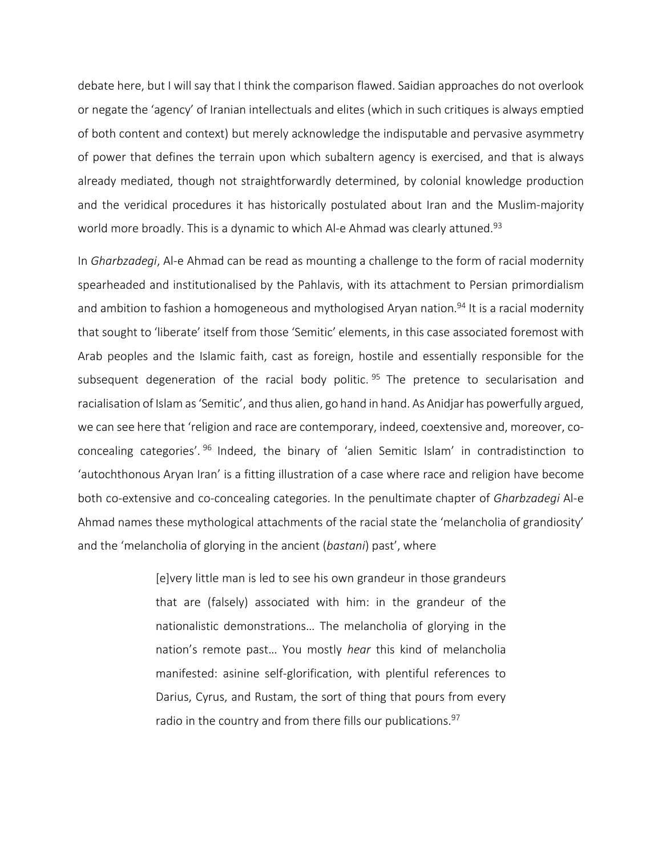debate here, but I will say that I think the comparison flawed. Saidian approaches do not overlook or negate the 'agency' of Iranian intellectuals and elites (which in such critiques is always emptied of both content and context) but merely acknowledge the indisputable and pervasive asymmetry of power that defines the terrain upon which subaltern agency is exercised, and that is always already mediated, though not straightforwardly determined, by colonial knowledge production and the veridical procedures it has historically postulated about Iran and the Muslim-majority world more broadly. This is a dynamic to which Al-e Ahmad was clearly attuned.<sup>93</sup>

In *Gharbzadegi*, Al-e Ahmad can be read as mounting a challenge to the form of racial modernity spearheaded and institutionalised by the Pahlavis, with its attachment to Persian primordialism and ambition to fashion a homogeneous and mythologised Aryan nation.<sup>94</sup> It is a racial modernity that sought to 'liberate' itself from those 'Semitic' elements, in this case associated foremost with Arab peoples and the Islamic faith, cast as foreign, hostile and essentially responsible for the subsequent degeneration of the racial body politic.<sup>95</sup> The pretence to secularisation and racialisation of Islam as'Semitic', and thus alien, go hand in hand. As Anidjar has powerfully argued, we can see here that 'religion and race are contemporary, indeed, coextensive and, moreover, coconcealing categories'. <sup>96</sup> Indeed, the binary of 'alien Semitic Islam' in contradistinction to 'autochthonous Aryan Iran' is a fitting illustration of a case where race and religion have become both co-extensive and co-concealing categories. In the penultimate chapter of *Gharbzadegi* Al-e Ahmad names these mythological attachments of the racial state the 'melancholia of grandiosity' and the 'melancholia of glorying in the ancient (*bastani*) past', where

> [e]very little man is led to see his own grandeur in those grandeurs that are (falsely) associated with him: in the grandeur of the nationalistic demonstrations… The melancholia of glorying in the nation's remote past… You mostly *hear* this kind of melancholia manifested: asinine self-glorification, with plentiful references to Darius, Cyrus, and Rustam, the sort of thing that pours from every radio in the country and from there fills our publications.<sup>97</sup>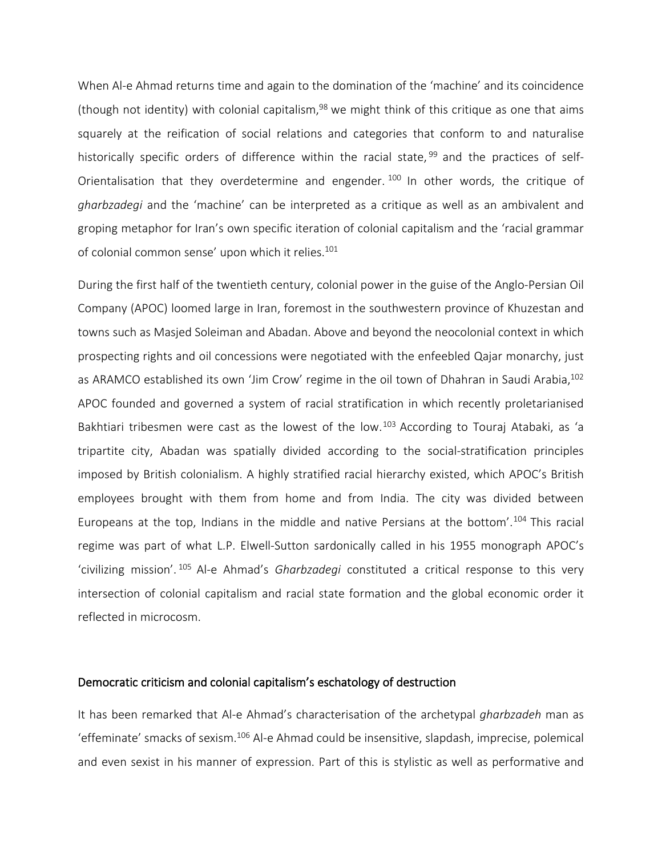When Al-e Ahmad returns time and again to the domination of the 'machine' and its coincidence (though not identity) with colonial capitalism,  $98$  we might think of this critique as one that aims squarely at the reification of social relations and categories that conform to and naturalise historically specific orders of difference within the racial state, <sup>99</sup> and the practices of self-Orientalisation that they overdetermine and engender.  $100$  In other words, the critique of *gharbzadegi* and the 'machine' can be interpreted as a critique as well as an ambivalent and groping metaphor for Iran's own specific iteration of colonial capitalism and the 'racial grammar of colonial common sense' upon which it relies.<sup>101</sup>

During the first half of the twentieth century, colonial power in the guise of the Anglo-Persian Oil Company (APOC) loomed large in Iran, foremost in the southwestern province of Khuzestan and towns such as Masjed Soleiman and Abadan. Above and beyond the neocolonial context in which prospecting rights and oil concessions were negotiated with the enfeebled Qajar monarchy, just as ARAMCO established its own 'Jim Crow' regime in the oil town of Dhahran in Saudi Arabia, 102 APOC founded and governed a system of racial stratification in which recently proletarianised Bakhtiari tribesmen were cast as the lowest of the low.<sup>103</sup> According to Touraj Atabaki, as 'a tripartite city, Abadan was spatially divided according to the social-stratification principles imposed by British colonialism. A highly stratified racial hierarchy existed, which APOC's British employees brought with them from home and from India. The city was divided between Europeans at the top, Indians in the middle and native Persians at the bottom'. <sup>104</sup> This racial regime was part of what L.P. Elwell-Sutton sardonically called in his 1955 monograph APOC's 'civilizing mission'. <sup>105</sup> Al-e Ahmad's *Gharbzadegi* constituted a critical response to this very intersection of colonial capitalism and racial state formation and the global economic order it reflected in microcosm.

#### Democratic criticism and colonial capitalism's eschatology of destruction

It has been remarked that Al-e Ahmad's characterisation of the archetypal *gharbzadeh* man as 'effeminate' smacks of sexism.<sup>106</sup> Al-e Ahmad could be insensitive, slapdash, imprecise, polemical and even sexist in his manner of expression. Part of this is stylistic as well as performative and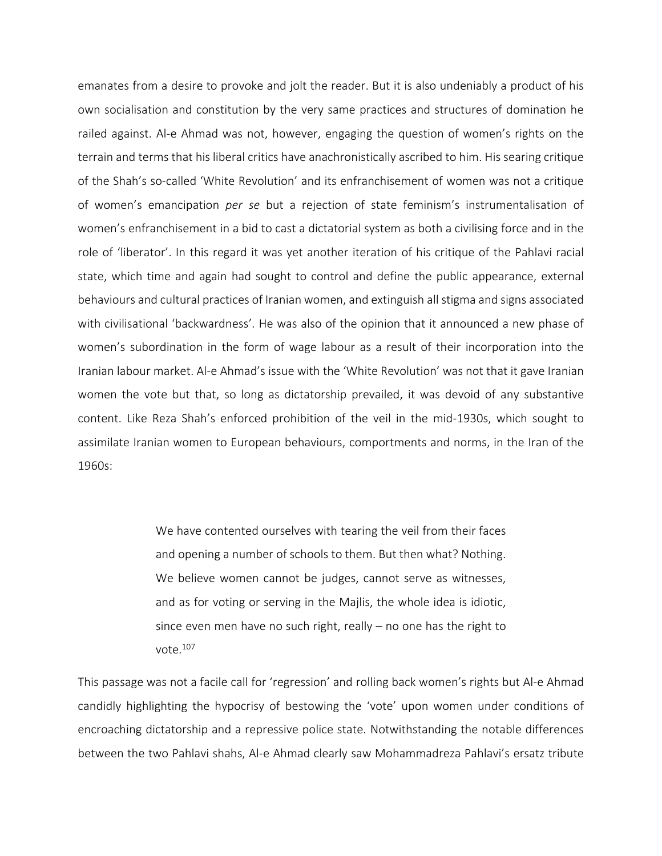emanates from a desire to provoke and jolt the reader. But it is also undeniably a product of his own socialisation and constitution by the very same practices and structures of domination he railed against. Al-e Ahmad was not, however, engaging the question of women's rights on the terrain and terms that his liberal critics have anachronistically ascribed to him. His searing critique of the Shah's so-called 'White Revolution' and its enfranchisement of women was not a critique of women's emancipation *per se* but a rejection of state feminism's instrumentalisation of women's enfranchisement in a bid to cast a dictatorial system as both a civilising force and in the role of 'liberator'. In this regard it was yet another iteration of his critique of the Pahlavi racial state, which time and again had sought to control and define the public appearance, external behaviours and cultural practices of Iranian women, and extinguish all stigma and signs associated with civilisational 'backwardness'. He was also of the opinion that it announced a new phase of women's subordination in the form of wage labour as a result of their incorporation into the Iranian labour market. Al-e Ahmad's issue with the 'White Revolution' was not that it gave Iranian women the vote but that, so long as dictatorship prevailed, it was devoid of any substantive content. Like Reza Shah's enforced prohibition of the veil in the mid-1930s, which sought to assimilate Iranian women to European behaviours, comportments and norms, in the Iran of the 1960s:

> We have contented ourselves with tearing the veil from their faces and opening a number of schools to them. But then what? Nothing. We believe women cannot be judges, cannot serve as witnesses, and as for voting or serving in the Majlis, the whole idea is idiotic, since even men have no such right, really – no one has the right to vote.<sup>107</sup>

This passage was not a facile call for 'regression' and rolling back women's rights but Al-e Ahmad candidly highlighting the hypocrisy of bestowing the 'vote' upon women under conditions of encroaching dictatorship and a repressive police state. Notwithstanding the notable differences between the two Pahlavi shahs, Al-e Ahmad clearly saw Mohammadreza Pahlavi's ersatz tribute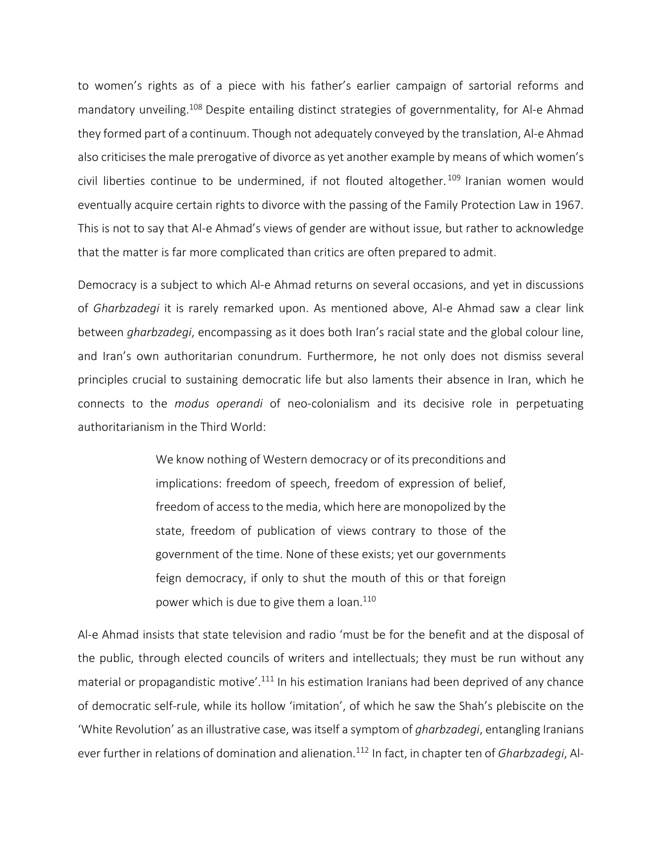to women's rights as of a piece with his father's earlier campaign of sartorial reforms and mandatory unveiling.<sup>108</sup> Despite entailing distinct strategies of governmentality, for Al-e Ahmad they formed part of a continuum. Though not adequately conveyed by the translation, Al-e Ahmad also criticises the male prerogative of divorce as yet another example by means of which women's civil liberties continue to be undermined, if not flouted altogether.<sup>109</sup> Iranian women would eventually acquire certain rights to divorce with the passing of the Family Protection Law in 1967. This is not to say that Al-e Ahmad's views of gender are without issue, but rather to acknowledge that the matter is far more complicated than critics are often prepared to admit.

Democracy is a subject to which Al-e Ahmad returns on several occasions, and yet in discussions of *Gharbzadegi* it is rarely remarked upon. As mentioned above, Al-e Ahmad saw a clear link between *gharbzadegi*, encompassing as it does both Iran's racial state and the global colour line, and Iran's own authoritarian conundrum. Furthermore, he not only does not dismiss several principles crucial to sustaining democratic life but also laments their absence in Iran, which he connects to the *modus operandi* of neo-colonialism and its decisive role in perpetuating authoritarianism in the Third World:

> We know nothing of Western democracy or of its preconditions and implications: freedom of speech, freedom of expression of belief, freedom of access to the media, which here are monopolized by the state, freedom of publication of views contrary to those of the government of the time. None of these exists; yet our governments feign democracy, if only to shut the mouth of this or that foreign power which is due to give them a loan.<sup>110</sup>

Al-e Ahmad insists that state television and radio 'must be for the benefit and at the disposal of the public, through elected councils of writers and intellectuals; they must be run without any material or propagandistic motive'.<sup>111</sup> In his estimation Iranians had been deprived of any chance of democratic self-rule, while its hollow 'imitation', of which he saw the Shah's plebiscite on the 'White Revolution' as an illustrative case, wasitself a symptom of *gharbzadegi*, entangling Iranians ever further in relations of domination and alienation.<sup>112</sup> In fact, in chapter ten of *Gharbzadegi*, Al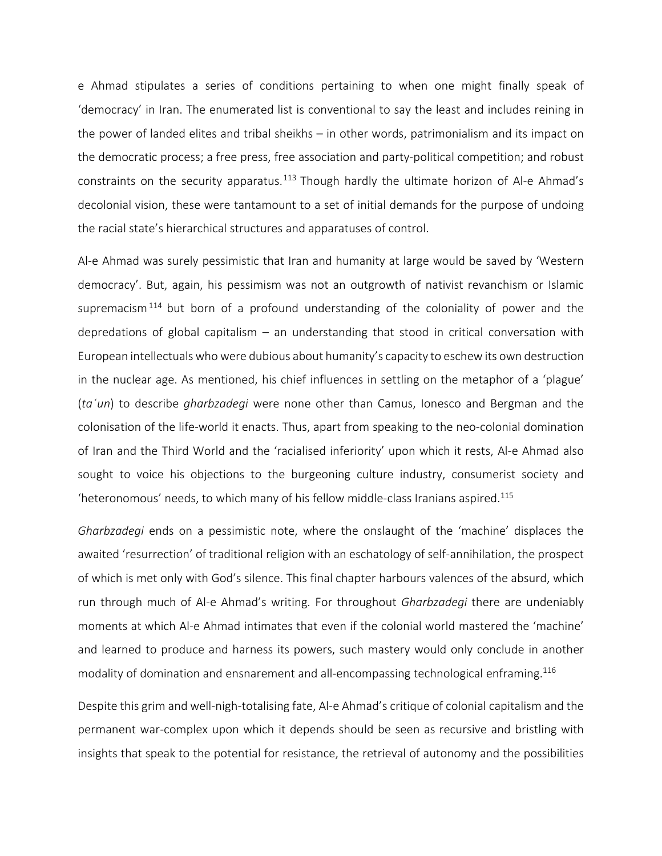e Ahmad stipulates a series of conditions pertaining to when one might finally speak of 'democracy' in Iran. The enumerated list is conventional to say the least and includes reining in the power of landed elites and tribal sheikhs – in other words, patrimonialism and its impact on the democratic process; a free press, free association and party-political competition; and robust constraints on the security apparatus.<sup>113</sup> Though hardly the ultimate horizon of Al-e Ahmad's decolonial vision, these were tantamount to a set of initial demands for the purpose of undoing the racial state's hierarchical structures and apparatuses of control.

Al-e Ahmad was surely pessimistic that Iran and humanity at large would be saved by 'Western democracy'. But, again, his pessimism was not an outgrowth of nativist revanchism or Islamic supremacism<sup>114</sup> but born of a profound understanding of the coloniality of power and the depredations of global capitalism – an understanding that stood in critical conversation with European intellectualswhowere dubious about humanity's capacity to eschewits own destruction in the nuclear age. As mentioned, his chief influences in settling on the metaphor of a 'plague' (*taʿun*) to describe *gharbzadegi* were none other than Camus, Ionesco and Bergman and the colonisation of the life-world it enacts. Thus, apart from speaking to the neo-colonial domination of Iran and the Third World and the 'racialised inferiority' upon which it rests, Al-e Ahmad also sought to voice his objections to the burgeoning culture industry, consumerist society and 'heteronomous' needs, to which many of his fellow middle-class Iranians aspired.<sup>115</sup>

*Gharbzadegi* ends on a pessimistic note, where the onslaught of the 'machine' displaces the awaited 'resurrection' of traditional religion with an eschatology of self-annihilation, the prospect of which is met only with God's silence. This final chapter harbours valences of the absurd, which run through much of Al-e Ahmad's writing. For throughout *Gharbzadegi* there are undeniably moments at which Al-e Ahmad intimates that even if the colonial world mastered the 'machine' and learned to produce and harness its powers, such mastery would only conclude in another modality of domination and ensnarement and all-encompassing technological enframing.<sup>116</sup>

Despite this grim and well-nigh-totalising fate, Al-e Ahmad's critique of colonial capitalism and the permanent war-complex upon which it depends should be seen as recursive and bristling with insights that speak to the potential for resistance, the retrieval of autonomy and the possibilities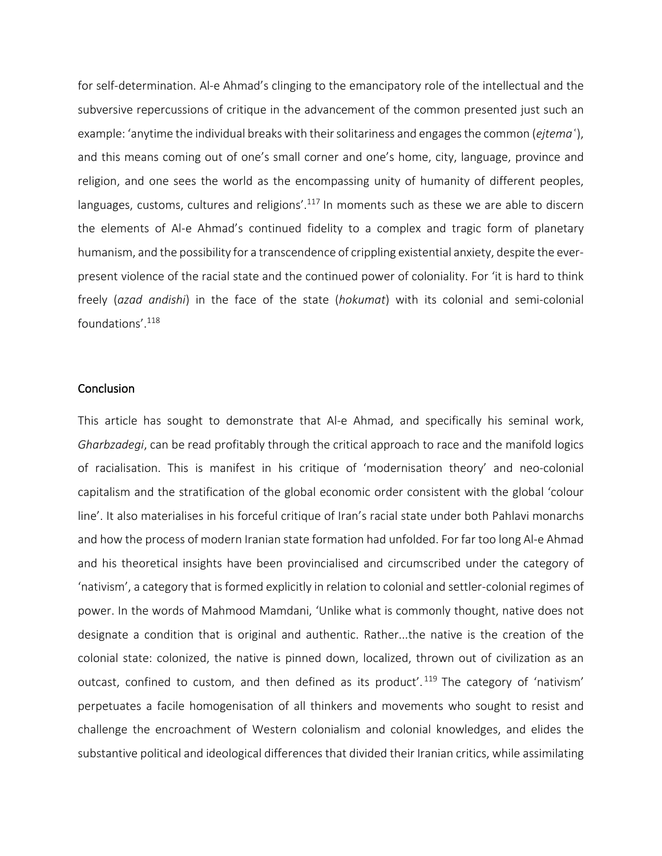for self-determination. Al-e Ahmad's clinging to the emancipatory role of the intellectual and the subversive repercussions of critique in the advancement of the common presented just such an example: 'anytime the individual breakswith theirsolitariness and engagesthe common (*ejtemaʿ*), and this means coming out of one's small corner and one's home, city, language, province and religion, and one sees the world as the encompassing unity of humanity of different peoples, languages, customs, cultures and religions'.<sup>117</sup> In moments such as these we are able to discern the elements of Al-e Ahmad's continued fidelity to a complex and tragic form of planetary humanism, and the possibility for a transcendence of crippling existential anxiety, despite the everpresent violence of the racial state and the continued power of coloniality. For 'it is hard to think freely (*azad andishi*) in the face of the state (*hokumat*) with its colonial and semi-colonial foundations'. 118

#### **Conclusion**

This article has sought to demonstrate that Al-e Ahmad, and specifically his seminal work, *Gharbzadegi*, can be read profitably through the critical approach to race and the manifold logics of racialisation. This is manifest in his critique of 'modernisation theory' and neo-colonial capitalism and the stratification of the global economic order consistent with the global 'colour line'. It also materialises in his forceful critique of Iran's racial state under both Pahlavi monarchs and how the process of modern Iranian state formation had unfolded. For far too long Al-e Ahmad and his theoretical insights have been provincialised and circumscribed under the category of 'nativism', a category that is formed explicitly in relation to colonial and settler-colonial regimes of power. In the words of Mahmood Mamdani, 'Unlike what is commonly thought, native does not designate a condition that is original and authentic. Rather...the native is the creation of the colonial state: colonized, the native is pinned down, localized, thrown out of civilization as an outcast, confined to custom, and then defined as its product'.<sup>119</sup> The category of 'nativism' perpetuates a facile homogenisation of all thinkers and movements who sought to resist and challenge the encroachment of Western colonialism and colonial knowledges, and elides the substantive political and ideological differences that divided their Iranian critics, while assimilating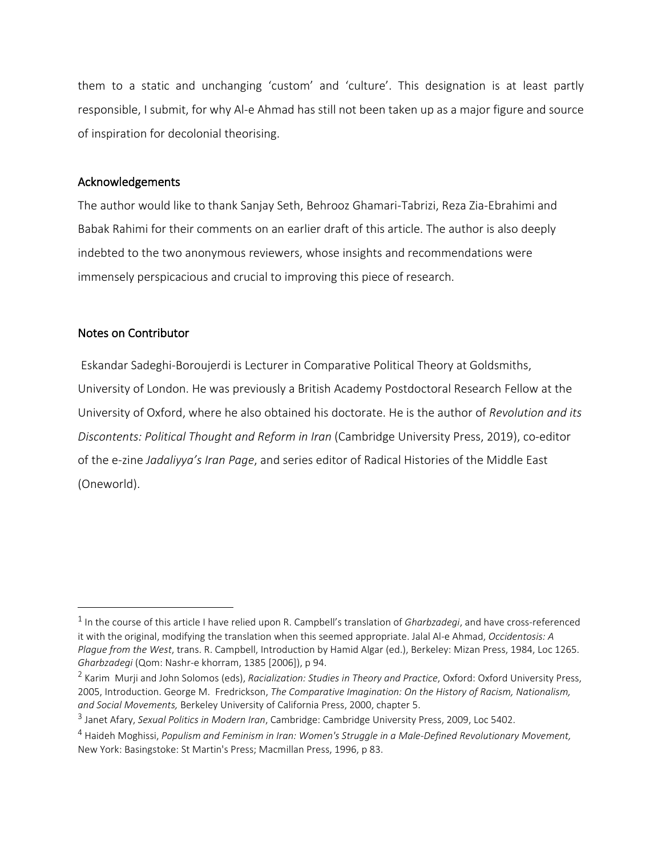them to a static and unchanging 'custom' and 'culture'. This designation is at least partly responsible, I submit, for why Al-e Ahmad has still not been taken up as a major figure and source of inspiration for decolonial theorising.

#### Acknowledgements

The author would like to thank Sanjay Seth, Behrooz Ghamari-Tabrizi, Reza Zia-Ebrahimi and Babak Rahimi for their comments on an earlier draft of this article. The author is also deeply indebted to the two anonymous reviewers, whose insights and recommendations were immensely perspicacious and crucial to improving this piece of research.

#### Notes on Contributor

 Eskandar Sadeghi-Boroujerdi is Lecturer in Comparative Political Theory at Goldsmiths, University of London. He was previously a British Academy Postdoctoral Research Fellow at the University of Oxford, where he also obtained his doctorate. He is the author of *Revolution and its Discontents: Political Thought and Reform in Iran* (Cambridge University Press, 2019), co-editor of the e-zine *Jadaliyya's Iran Page*, and series editor of Radical Histories of the Middle East (Oneworld).

<sup>&</sup>lt;sup>1</sup> In the course of this article I have relied upon R. Campbell's translation of *Gharbzadegi*, and have cross-referenced it with the original, modifying the translation when this seemed appropriate. Jalal Al-e Ahmad, *Occidentosis: A Plague from the West*, trans. R. Campbell, Introduction by Hamid Algar (ed.), Berkeley: Mizan Press, 1984, Loc 1265. *Gharbzadegi* (Qom: Nashr-e khorram, 1385 [2006]), p 94.

<sup>2</sup> Karim Murji and John Solomos (eds), *Racialization: Studies in Theory and Practice*, Oxford: Oxford University Press, 2005, Introduction. George M. Fredrickson, *The Comparative Imagination: On the History of Racism, Nationalism, and Social Movements,* Berkeley University of California Press, 2000, chapter 5.

<sup>3</sup> Janet Afary, *Sexual Politics in Modern Iran*, Cambridge: Cambridge University Press, 2009, Loc 5402.

<sup>4</sup> Haideh Moghissi, *Populism and Feminism in Iran: Women's Struggle in a Male-Defined Revolutionary Movement,* New York: Basingstoke: St Martin's Press; Macmillan Press, 1996, p 83.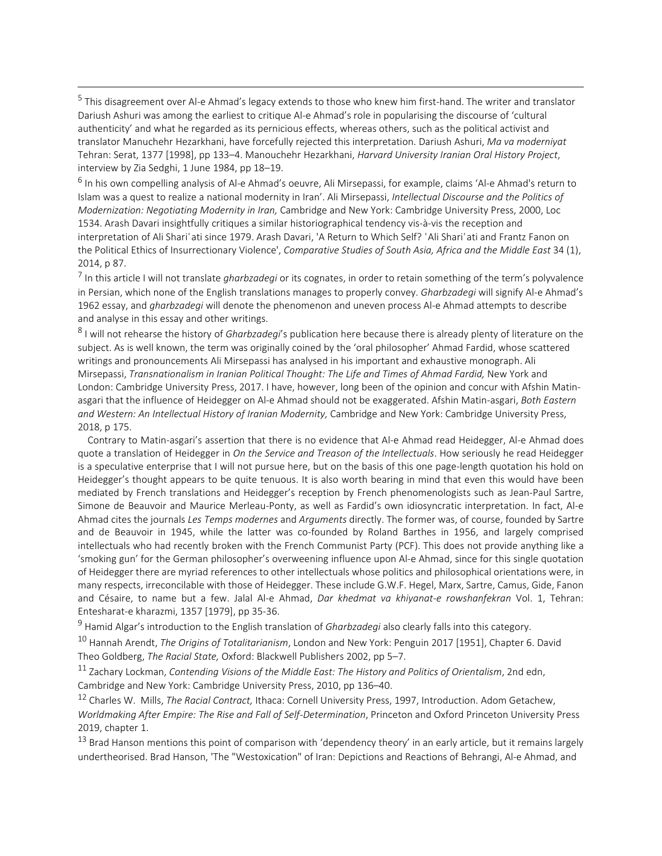<sup>5</sup> This disagreement over Al-e Ahmad's legacy extends to those who knew him first-hand. The writer and translator Dariush Ashuri was among the earliest to critique Al-e Ahmad's role in popularising the discourse of 'cultural authenticity' and what he regarded as its pernicious effects, whereas others, such as the political activist and translator Manuchehr Hezarkhani, have forcefully rejected this interpretation. Dariush Ashuri, *Ma va moderniyat* Tehran: Serat, 1377 [1998], pp 133–4. Manouchehr Hezarkhani, *Harvard University Iranian Oral History Project*, interview by Zia Sedghi, 1 June 1984, pp 18–19.

<sup>6</sup> In his own compelling analysis of Al-e Ahmad's oeuvre, Ali Mirsepassi, for example, claims 'Al-e Ahmad's return to Islam was a quest to realize a national modernity in Iran'. Ali Mirsepassi, *Intellectual Discourse and the Politics of Modernization: Negotiating Modernity in Iran,* Cambridge and New York: Cambridge University Press, 2000, Loc 1534. Arash Davari insightfully critiques a similar historiographical tendency vis-à-vis the reception and interpretation of Ali Shariʿati since 1979. Arash Davari, 'A Return to Which Self? ʿAli Shariʿati and Frantz Fanon on the Political Ethics of Insurrectionary Violence', *Comparative Studies of South Asia, Africa and the Middle East* 34 (1), 2014, p 87.

7 In this article I will not translate *gharbzadegi* or its cognates, in order to retain something of the term's polyvalence in Persian, which none of the English translations manages to properly convey. *Gharbzadegi* will signify Al-e Ahmad's 1962 essay, and *gharbzadegi* will denote the phenomenon and uneven process Al-e Ahmad attempts to describe and analyse in this essay and other writings.

8 I will not rehearse the history of *Gharbzadegi*'s publication here because there is already plenty of literature on the subject. As is well known, the term was originally coined by the 'oral philosopher' Ahmad Fardid, whose scattered writings and pronouncements Ali Mirsepassi has analysed in his important and exhaustive monograph. Ali Mirsepassi, *Transnationalism in Iranian Political Thought: The Life and Times of Ahmad Fardid,* New York and London: Cambridge University Press, 2017. I have, however, long been of the opinion and concur with Afshin Matinasgari that the influence of Heidegger on Al-e Ahmad should not be exaggerated. Afshin Matin-asgari, *Both Eastern and Western: An Intellectual History of Iranian Modernity,* Cambridge and New York: Cambridge University Press, 2018, p 175.

 Contrary to Matin-asgari's assertion that there is no evidence that Al-e Ahmad read Heidegger, Al-e Ahmad does quote a translation of Heidegger in *On the Service and Treason of the Intellectuals*. How seriously he read Heidegger is a speculative enterprise that I will not pursue here, but on the basis of this one page-length quotation his hold on Heidegger's thought appears to be quite tenuous. It is also worth bearing in mind that even this would have been mediated by French translations and Heidegger's reception by French phenomenologists such as Jean-Paul Sartre, Simone de Beauvoir and Maurice Merleau-Ponty, as well as Fardid's own idiosyncratic interpretation. In fact, Al-e Ahmad cites the journals *Les Temps modernes* and *Arguments* directly. The former was, of course, founded by Sartre and de Beauvoir in 1945, while the latter was co-founded by Roland Barthes in 1956, and largely comprised intellectuals who had recently broken with the French Communist Party (PCF). This does not provide anything like a 'smoking gun' for the German philosopher's overweening influence upon Al-e Ahmad, since for this single quotation of Heidegger there are myriad references to other intellectuals whose politics and philosophical orientations were, in many respects, irreconcilable with those of Heidegger. These include G.W.F. Hegel, Marx, Sartre, Camus, Gide, Fanon and Césaire, to name but a few. Jalal Al-e Ahmad, *Dar khedmat va khiyanat-e rowshanfekran* Vol. 1, Tehran: Entesharat-e kharazmi, 1357 [1979], pp 35-36.

<sup>9</sup> Hamid Algar's introduction to the English translation of *Gharbzadegi* also clearly falls into this category.

<sup>10</sup> Hannah Arendt, *The Origins of Totalitarianism*, London and New York: Penguin 2017 [1951], Chapter 6. David Theo Goldberg, *The Racial State,* Oxford: Blackwell Publishers 2002, pp 5–7.

<sup>11</sup> Zachary Lockman, *Contending Visions of the Middle East: The History and Politics of Orientalism*, 2nd edn, Cambridge and New York: Cambridge University Press, 2010, pp 136–40.

<sup>12</sup> Charles W. Mills, *The Racial Contract,* Ithaca: Cornell University Press, 1997, Introduction. Adom Getachew, *Worldmaking After Empire: The Rise and Fall of Self-Determination*, Princeton and Oxford Princeton University Press 2019, chapter 1.

<sup>13</sup> Brad Hanson mentions this point of comparison with 'dependency theory' in an early article, but it remains largely undertheorised. Brad Hanson, 'The "Westoxication" of Iran: Depictions and Reactions of Behrangi, Al-e Ahmad, and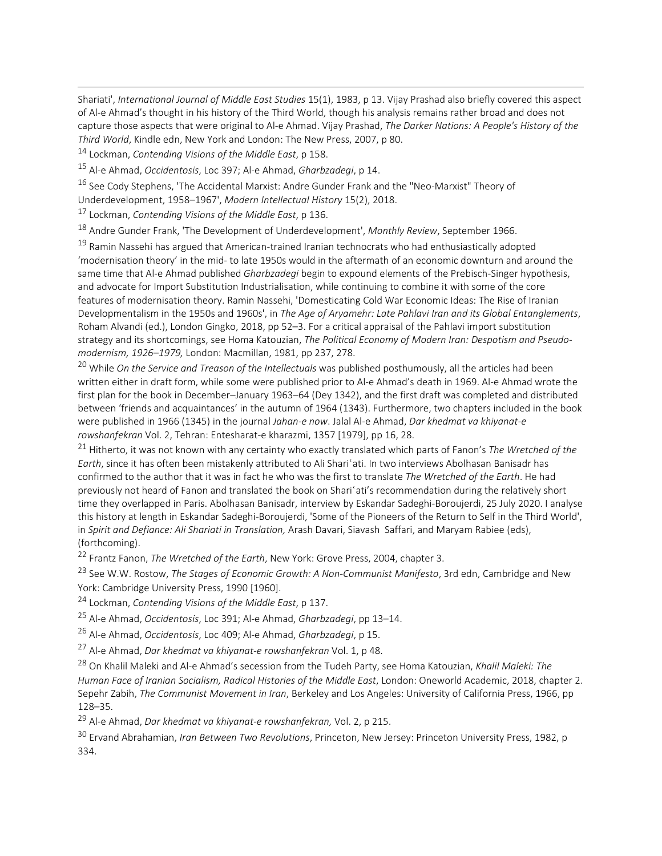Shariati', *International Journal of Middle East Studies* 15(1), 1983, p 13. Vijay Prashad also briefly covered this aspect of Al-e Ahmad's thought in his history of the Third World, though his analysis remains rather broad and does not capture those aspects that were original to Al-e Ahmad. Vijay Prashad, *The Darker Nations: A People's History of the Third World*, Kindle edn, New York and London: The New Press, 2007, p 80.

<sup>14</sup> Lockman, *Contending Visions of the Middle East*, p 158.

<sup>15</sup> Al-e Ahmad, *Occidentosis*, Loc 397; Al-e Ahmad, *Gharbzadegi*, p 14.

<sup>16</sup> See Cody Stephens, 'The Accidental Marxist: Andre Gunder Frank and the "Neo-Marxist" Theory of Underdevelopment, 1958–1967', *Modern Intellectual History* 15(2), 2018.

<sup>17</sup> Lockman, *Contending Visions of the Middle East*, p 136.

<sup>18</sup> Andre Gunder Frank, 'The Development of Underdevelopment', *Monthly Review*, September 1966.

<sup>19</sup> Ramin Nassehi has argued that American-trained Iranian technocrats who had enthusiastically adopted 'modernisation theory' in the mid- to late 1950s would in the aftermath of an economic downturn and around the same time that Al-e Ahmad published *Gharbzadegi* begin to expound elements of the Prebisch-Singer hypothesis, and advocate for Import Substitution Industrialisation, while continuing to combine it with some of the core features of modernisation theory. Ramin Nassehi, 'Domesticating Cold War Economic Ideas: The Rise of Iranian Developmentalism in the 1950s and 1960s', in *The Age of Aryamehr: Late Pahlavi Iran and its Global Entanglements*, Roham Alvandi (ed.), London Gingko, 2018, pp 52–3. For a critical appraisal of the Pahlavi import substitution strategy and its shortcomings, see Homa Katouzian, *The Political Economy of Modern Iran: Despotism and Pseudomodernism, 1926*–*1979,* London: Macmillan, 1981, pp 237, 278.

<sup>20</sup> While *On the Service and Treason of the Intellectuals* was published posthumously, all the articles had been written either in draft form, while some were published prior to Al-e Ahmad's death in 1969. Al-e Ahmad wrote the first plan for the book in December–January 1963–64 (Dey 1342), and the first draft was completed and distributed between 'friends and acquaintances' in the autumn of 1964 (1343). Furthermore, two chapters included in the book were published in 1966 (1345) in the journal *Jahan-e now*. Jalal Al-e Ahmad, *Dar khedmat va khiyanat-e rowshanfekran* Vol. 2, Tehran: Entesharat-e kharazmi, 1357 [1979], pp 16, 28.

<sup>21</sup> Hitherto, it was not known with any certainty who exactly translated which parts of Fanon's *The Wretched of the Earth*, since it has often been mistakenly attributed to Ali Shariʿati. In two interviews Abolhasan Banisadr has confirmed to the author that it was in fact he who was the first to translate *The Wretched of the Earth*. He had previously not heard of Fanon and translated the book on Shari'ati's recommendation during the relatively short time they overlapped in Paris. Abolhasan Banisadr, interview by Eskandar Sadeghi-Boroujerdi, 25 July 2020. I analyse this history at length in Eskandar Sadeghi-Boroujerdi, 'Some of the Pioneers of the Return to Self in the Third World', in *Spirit and Defiance: Ali Shariati in Translation,* Arash Davari, Siavash Saffari, and Maryam Rabiee (eds), (forthcoming).

<sup>22</sup> Frantz Fanon, *The Wretched of the Earth*, New York: Grove Press, 2004, chapter 3.

<sup>23</sup> See W.W. Rostow, *The Stages of Economic Growth: A Non-Communist Manifesto*, 3rd edn, Cambridge and New York: Cambridge University Press, 1990 [1960].

<sup>24</sup> Lockman, *Contending Visions of the Middle East*, p 137.

<sup>25</sup> Al-e Ahmad, *Occidentosis*, Loc 391; Al-e Ahmad, *Gharbzadegi*, pp 13–14.

<sup>26</sup> Al-e Ahmad, *Occidentosis*, Loc 409; Al-e Ahmad, *Gharbzadegi*, p 15.

<sup>27</sup> Al-e Ahmad, *Dar khedmat va khiyanat-e rowshanfekran* Vol. 1, p 48.

<sup>28</sup> On Khalil Maleki and Al-e Ahmad's secession from the Tudeh Party, see Homa Katouzian, *Khalil Maleki: The Human Face of Iranian Socialism, Radical Histories of the Middle East*, London: Oneworld Academic, 2018, chapter 2. Sepehr Zabih, *The Communist Movement in Iran*, Berkeley and Los Angeles: University of California Press, 1966, pp 128–35.

<sup>29</sup> Al-e Ahmad, *Dar khedmat va khiyanat-e rowshanfekran,* Vol. 2, p 215.

<sup>30</sup> Ervand Abrahamian, *Iran Between Two Revolutions*, Princeton, New Jersey: Princeton University Press, 1982, p 334.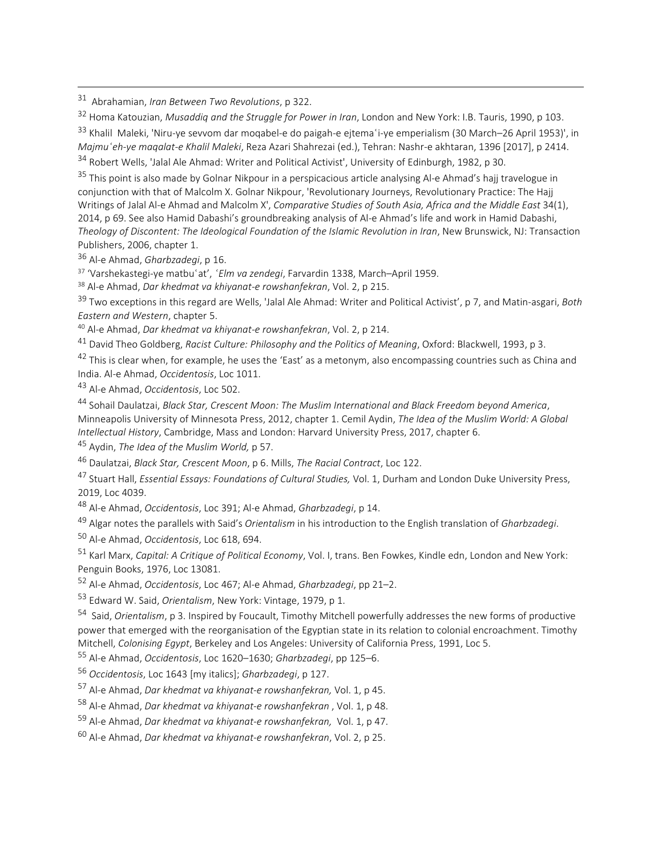Abrahamian, *Iran Between Two Revolutions*, p 322.

Homa Katouzian, *Musaddiq and the Struggle for Power in Iran*, London and New York: I.B. Tauris, 1990, p 103.

33 Khalil Maleki, 'Niru-ye sevvom dar moqabel-e do paigah-e ejtemaʿi-ye emperialism (30 March–26 April 1953)', in *Majmuʿeh-ye maqalat-e Khalil Maleki*, Reza Azari Shahrezai (ed.), Tehran: Nashr-e akhtaran, 1396 [2017], p 2414.

Robert Wells, 'Jalal Ale Ahmad: Writer and Political Activist', University of Edinburgh, 1982, p 30.

<sup>35</sup> This point is also made by Golnar Nikpour in a perspicacious article analysing Al-e Ahmad's hajj travelogue in conjunction with that of Malcolm X. Golnar Nikpour, 'Revolutionary Journeys, Revolutionary Practice: The Hajj Writings of Jalal Al-e Ahmad and Malcolm X', *Comparative Studies of South Asia, Africa and the Middle East* 34(1), 2014, p 69. See also Hamid Dabashi's groundbreaking analysis of Al-e Ahmad's life and work in Hamid Dabashi, *Theology of Discontent: The Ideological Foundation of the Islamic Revolution in Iran*, New Brunswick, NJ: Transaction Publishers, 2006, chapter 1.

Al-e Ahmad, *Gharbzadegi*, p 16.

'Varshekastegi-ye matbuʿat', *ʿElm va zendegi*, Farvardin 1338, March–April 1959.

Al-e Ahmad, *Dar khedmat va khiyanat-e rowshanfekran*, Vol. 2, p 215.

 Two exceptions in this regard are Wells, 'Jalal Ale Ahmad: Writer and Political Activist', p 7, and Matin-asgari, *Both Eastern and Western*, chapter 5.

Al-e Ahmad, *Dar khedmat va khiyanat-e rowshanfekran*, Vol. 2, p 214.

David Theo Goldberg, *Racist Culture: Philosophy and the Politics of Meaning*, Oxford: Blackwell, 1993, p 3.

<sup>42</sup> This is clear when, for example, he uses the 'East' as a metonym, also encompassing countries such as China and India. Al-e Ahmad, *Occidentosis*, Loc 1011.

Al-e Ahmad, *Occidentosis*, Loc 502.

 Sohail Daulatzai, *Black Star, Crescent Moon: The Muslim International and Black Freedom beyond America*, Minneapolis University of Minnesota Press, 2012, chapter 1. Cemil Aydin, *The Idea of the Muslim World: A Global Intellectual History*, Cambridge, Mass and London: Harvard University Press, 2017, chapter 6.

Aydin, *The Idea of the Muslim World,* p 57.

Daulatzai, *Black Star, Crescent Moon*, p 6. Mills, *The Racial Contract*, Loc 122.

 Stuart Hall, *Essential Essays: Foundations of Cultural Studies,* Vol. 1, Durham and London Duke University Press, 2019, Loc 4039.

Al-e Ahmad, *Occidentosis*, Loc 391; Al-e Ahmad, *Gharbzadegi*, p 14.

Algar notes the parallels with Said's *Orientalism* in his introduction to the English translation of *Gharbzadegi*.

Al-e Ahmad, *Occidentosis*, Loc 618, 694.

 Karl Marx, *Capital: A Critique of Political Economy*, Vol. I, trans. Ben Fowkes, Kindle edn, London and New York: Penguin Books, 1976, Loc 13081.

Al-e Ahmad, *Occidentosis*, Loc 467; Al-e Ahmad, *Gharbzadegi*, pp 21–2.

Edward W. Said, *Orientalism*, New York: Vintage, 1979, p 1.

 Said, *Orientalism*, p 3. Inspired by Foucault, Timothy Mitchell powerfully addresses the new forms of productive power that emerged with the reorganisation of the Egyptian state in its relation to colonial encroachment. Timothy Mitchell, *Colonising Egypt*, Berkeley and Los Angeles: University of California Press, 1991, Loc 5.

Al-e Ahmad, *Occidentosis*, Loc 1620–1630; *Gharbzadegi*, pp 125–6.

*Occidentosis*, Loc 1643 [my italics]; *Gharbzadegi*, p 127.

Al-e Ahmad, *Dar khedmat va khiyanat-e rowshanfekran,* Vol. 1, p 45.

Al-e Ahmad, *Dar khedmat va khiyanat-e rowshanfekran* , Vol. 1, p 48.

Al-e Ahmad, *Dar khedmat va khiyanat-e rowshanfekran,* Vol. 1, p 47.

Al-e Ahmad, *Dar khedmat va khiyanat-e rowshanfekran*, Vol. 2, p 25.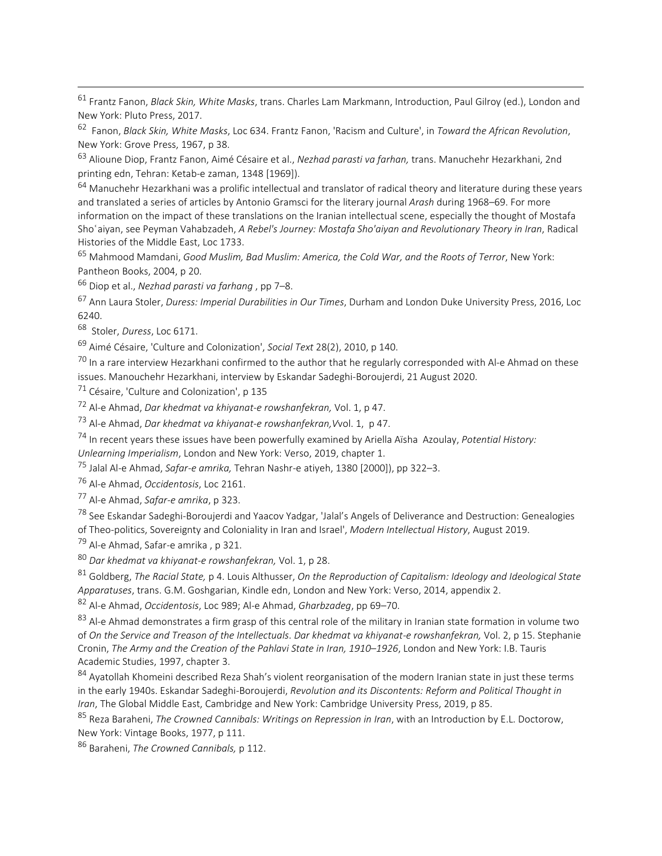<sup>61</sup> Frantz Fanon, *Black Skin, White Masks*, trans. Charles Lam Markmann, Introduction, Paul Gilroy (ed.), London and New York: Pluto Press, 2017.

<sup>62</sup> Fanon, *Black Skin, White Masks*, Loc 634. Frantz Fanon, 'Racism and Culture', in *Toward the African Revolution*, New York: Grove Press, 1967, p 38.

<sup>63</sup> Alioune Diop, Frantz Fanon, Aimé Césaire et al., *Nezhad parasti va farhan,* trans. Manuchehr Hezarkhani, 2nd printing edn, Tehran: Ketab-e zaman, 1348 [1969]).

 $64$  Manuchehr Hezarkhani was a prolific intellectual and translator of radical theory and literature during these years and translated a series of articles by Antonio Gramsci for the literary journal *Arash* during 1968–69. For more information on the impact of these translations on the Iranian intellectual scene, especially the thought of Mostafa Shoʿaiyan, see Peyman Vahabzadeh, *A Rebel's Journey: Mostafa Sho'aiyan and Revolutionary Theory in Iran*, Radical Histories of the Middle East, Loc 1733.

<sup>65</sup> Mahmood Mamdani, *Good Muslim, Bad Muslim: America, the Cold War, and the Roots of Terror*, New York: Pantheon Books, 2004, p 20.

<sup>66</sup> Diop et al., *Nezhad parasti va farhang* , pp 7–8.

<sup>67</sup> Ann Laura Stoler, *Duress: Imperial Durabilities in Our Times*, Durham and London Duke University Press, 2016, Loc 6240.

<sup>68</sup> Stoler, *Duress*, Loc 6171.

<sup>69</sup> Aimé Césaire, 'Culture and Colonization', *Social Text* 28(2), 2010, p 140.

 $^{70}$  In a rare interview Hezarkhani confirmed to the author that he regularly corresponded with Al-e Ahmad on these issues. Manouchehr Hezarkhani, interview by Eskandar Sadeghi-Boroujerdi, 21 August 2020.

 $71$  Césaire, 'Culture and Colonization', p 135

<sup>72</sup> Al-e Ahmad, *Dar khedmat va khiyanat-e rowshanfekran,* Vol. 1, p 47.

<sup>73</sup> Al-e Ahmad, *Dar khedmat va khiyanat-e rowshanfekran,V*vol. 1, p 47.

<sup>74</sup> In recent years these issues have been powerfully examined by Ariella Aïsha Azoulay, *Potential History:*

*Unlearning Imperialism*, London and New York: Verso, 2019, chapter 1.

<sup>75</sup> Jalal Al-e Ahmad, *Safar-e amrika,* Tehran Nashr-e atiyeh, 1380 [2000]), pp 322–3.

<sup>76</sup> Al-e Ahmad, *Occidentosis*, Loc 2161.

<sup>77</sup> Al-e Ahmad, *Safar-e amrika*, p 323.

<sup>78</sup> See Eskandar Sadeghi-Boroujerdi and Yaacov Yadgar, 'Jalal's Angels of Deliverance and Destruction: Genealogies of Theo-politics, Sovereignty and Coloniality in Iran and Israel', *Modern Intellectual History*, August 2019.

<sup>79</sup> Al-e Ahmad, Safar-e amrika, p 321.

<sup>80</sup> *Dar khedmat va khiyanat-e rowshanfekran,* Vol. 1, p 28.

<sup>81</sup> Goldberg, *The Racial State,* p 4. Louis Althusser, *On the Reproduction of Capitalism: Ideology and Ideological State Apparatuses*, trans. G.M. Goshgarian, Kindle edn, London and New York: Verso, 2014, appendix 2.

<sup>82</sup> Al-e Ahmad, *Occidentosis*, Loc 989; Al-e Ahmad, *Gharbzadeg*, pp 69–70.

83 Al-e Ahmad demonstrates a firm grasp of this central role of the military in Iranian state formation in volume two of *On the Service and Treason of the Intellectuals*. *Dar khedmat va khiyanat-e rowshanfekran,* Vol. 2, p 15. Stephanie Cronin, *The Army and the Creation of the Pahlavi State in Iran, 1910*–*1926*, London and New York: I.B. Tauris Academic Studies, 1997, chapter 3.

84 Ayatollah Khomeini described Reza Shah's violent reorganisation of the modern Iranian state in just these terms in the early 1940s. Eskandar Sadeghi-Boroujerdi, *Revolution and its Discontents: Reform and Political Thought in Iran*, The Global Middle East, Cambridge and New York: Cambridge University Press, 2019, p 85.

<sup>85</sup> Reza Baraheni, *The Crowned Cannibals: Writings on Repression in Iran*, with an Introduction by E.L. Doctorow, New York: Vintage Books, 1977, p 111.

<sup>86</sup> Baraheni, *The Crowned Cannibals,* p 112.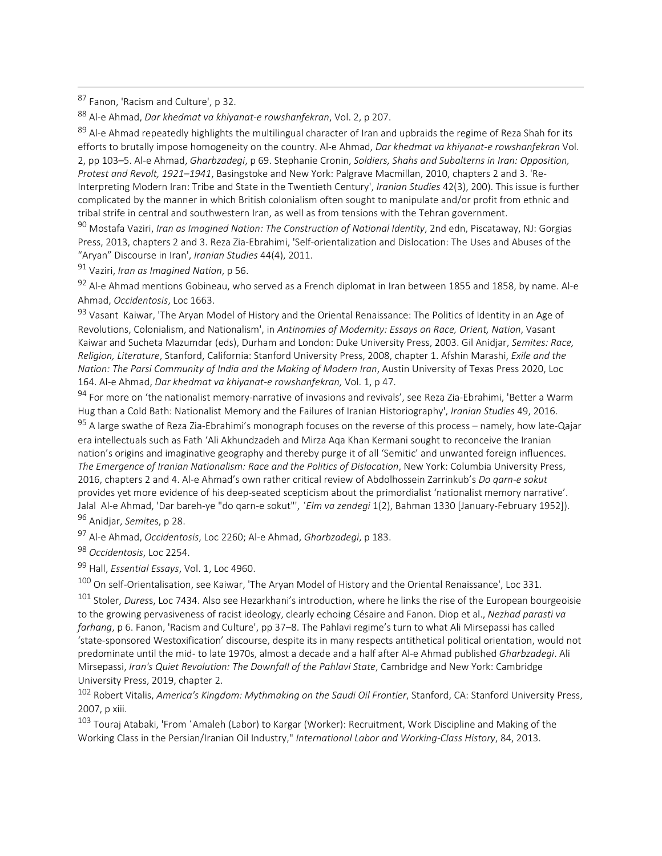87 Fanon, 'Racism and Culture', p 32.

<sup>88</sup> Al-e Ahmad, *Dar khedmat va khiyanat-e rowshanfekran*, Vol. 2, p 207.

89 Al-e Ahmad repeatedly highlights the multilingual character of Iran and upbraids the regime of Reza Shah for its efforts to brutally impose homogeneity on the country. Al-e Ahmad, *Dar khedmat va khiyanat-e rowshanfekran* Vol. 2, pp 103–5. Al-e Ahmad, *Gharbzadegi*, p 69. Stephanie Cronin, *Soldiers, Shahs and Subalterns in Iran: Opposition, Protest and Revolt, 1921*–*1941*, Basingstoke and New York: Palgrave Macmillan, 2010, chapters 2 and 3. 'Re-Interpreting Modern Iran: Tribe and State in the Twentieth Century', *Iranian Studies* 42(3), 200). This issue is further complicated by the manner in which British colonialism often sought to manipulate and/or profit from ethnic and tribal strife in central and southwestern Iran, as well as from tensions with the Tehran government.

<sup>90</sup> Mostafa Vaziri, *Iran as Imagined Nation: The Construction of National Identity*, 2nd edn, Piscataway, NJ: Gorgias Press, 2013, chapters 2 and 3. Reza Zia-Ebrahimi, 'Self-orientalization and Dislocation: The Uses and Abuses of the "Aryan" Discourse in Iran', *Iranian Studies* 44(4), 2011.

<sup>91</sup> Vaziri, *Iran as Imagined Nation*, p 56.

92 Al-e Ahmad mentions Gobineau, who served as a French diplomat in Iran between 1855 and 1858, by name. Al-e Ahmad, *Occidentosis*, Loc 1663.

93 Vasant Kaiwar, 'The Aryan Model of History and the Oriental Renaissance: The Politics of Identity in an Age of Revolutions, Colonialism, and Nationalism', in *Antinomies of Modernity: Essays on Race, Orient, Nation*, Vasant Kaiwar and Sucheta Mazumdar (eds), Durham and London: Duke University Press, 2003. Gil Anidjar, *Semites: Race, Religion, Literature*, Stanford, California: Stanford University Press, 2008, chapter 1. Afshin Marashi, *Exile and the Nation: The Parsi Community of India and the Making of Modern Iran*, Austin University of Texas Press 2020, Loc 164. Al-e Ahmad, *Dar khedmat va khiyanat-e rowshanfekran,* Vol. 1, p 47.

<sup>94</sup> For more on 'the nationalist memory-narrative of invasions and revivals', see Reza Zia-Ebrahimi, 'Better a Warm Hug than a Cold Bath: Nationalist Memory and the Failures of Iranian Historiography', *Iranian Studies* 49, 2016.

95 A large swathe of Reza Zia-Ebrahimi's monograph focuses on the reverse of this process – namely, how late-Qajar era intellectuals such as Fath 'Ali Akhundzadeh and Mirza Aqa Khan Kermani sought to reconceive the Iranian nation's origins and imaginative geography and thereby purge it of all 'Semitic' and unwanted foreign influences. *The Emergence of Iranian Nationalism: Race and the Politics of Dislocation*, New York: Columbia University Press, 2016, chapters 2 and 4. Al-e Ahmad's own rather critical review of Abdolhossein Zarrinkub's *Do qarn-e sokut* provides yet more evidence of his deep-seated scepticism about the primordialist 'nationalist memory narrative'. Jalal Al-e Ahmad, 'Dar bareh-ye "do qarn-e sokut"', *ʿElm va zendegi* 1(2), Bahman 1330 [January-February 1952]). <sup>96</sup> Anidjar, *Semite*s, p 28.

<sup>97</sup> Al-e Ahmad, *Occidentosis*, Loc 2260; Al-e Ahmad, *Gharbzadegi*, p 183.

<sup>98</sup> *Occidentosis*, Loc 2254.

<sup>99</sup> Hall, *Essential Essays*, Vol. 1, Loc 4960.

<sup>100</sup> On self-Orientalisation, see Kaiwar, 'The Aryan Model of History and the Oriental Renaissance', Loc 331.

<sup>101</sup> Stoler, *Dures*s, Loc 7434. Also see Hezarkhani's introduction, where he links the rise of the European bourgeoisie to the growing pervasiveness of racist ideology, clearly echoing Césaire and Fanon. Diop et al., *Nezhad parasti va farhang*, p 6. Fanon, 'Racism and Culture', pp 37–8. The Pahlavi regime's turn to what Ali Mirsepassi has called 'state-sponsored Westoxification' discourse, despite its in many respects antithetical political orientation, would not predominate until the mid- to late 1970s, almost a decade and a half after Al-e Ahmad published *Gharbzadegi*. Ali Mirsepassi, *Iran's Quiet Revolution: The Downfall of the Pahlavi State*, Cambridge and New York: Cambridge University Press, 2019, chapter 2.

<sup>102</sup> Robert Vitalis, *America's Kingdom: Mythmaking on the Saudi Oil Frontier*, Stanford, CA: Stanford University Press, 2007, p xiii.

<sup>103</sup> Touraj Atabaki, 'From ʿAmaleh (Labor) to Kargar (Worker): Recruitment, Work Discipline and Making of the Working Class in the Persian/Iranian Oil Industry," *International Labor and Working-Class History*, 84, 2013.